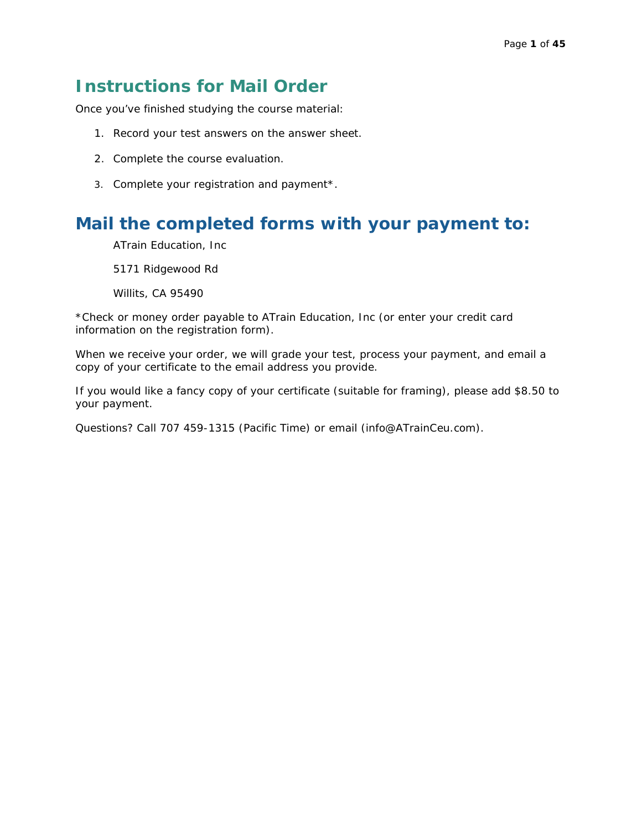### **Instructions for Mail Order**

Once you've finished studying the course material:

- 1. Record your test answers on the answer sheet.
- 2. Complete the course evaluation.
- 3. Complete your registration and payment\*.

### **Mail the completed forms with your payment to:**

ATrain Education, Inc

5171 Ridgewood Rd

Willits, CA 95490

\*Check or money order payable to ATrain Education, Inc (or enter your credit card information on the registration form).

When we receive your order, we will grade your test, process your payment, and email a copy of your certificate to the email address you provide.

If you would like a fancy copy of your certificate (suitable for framing), please add \$8.50 to your payment.

Questions? Call 707 459-1315 (Pacific Time) or email [\(info@ATrainCeu.com\)](mailto:info@ATrainCeu.com).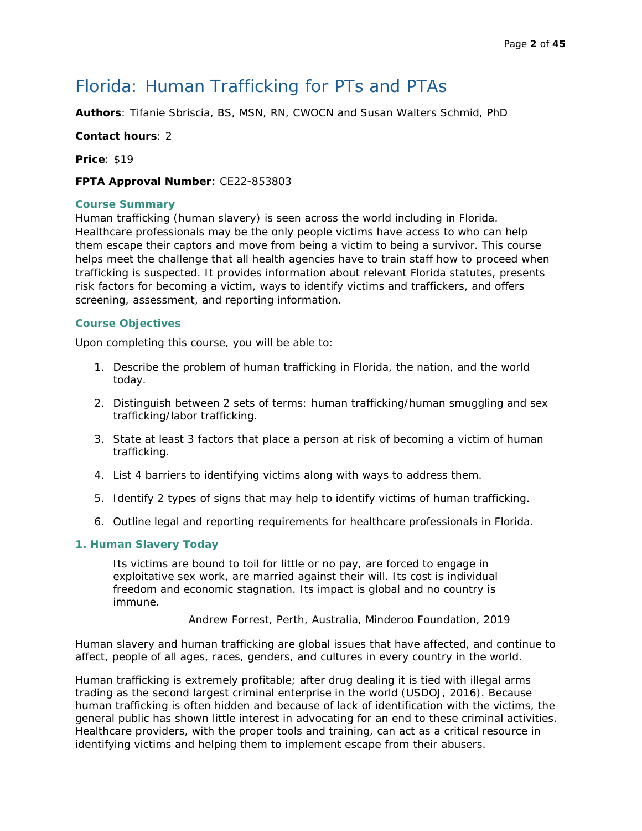### Florida: Human Trafficking for PTs and PTAs

**Authors**: Tifanie Sbriscia, BS, MSN, RN, CWOCN and Susan Walters Schmid, PhD

#### **Contact hours**: 2

**Price**: \$19

#### **FPTA Approval Number**: CE22-853803

#### **Course Summary**

Human trafficking (human slavery) is seen across the world including in Florida. Healthcare professionals may be the only people victims have access to who can help them escape their captors and move from being a victim to being a survivor. This course helps meet the challenge that all health agencies have to train staff how to proceed when trafficking is suspected. It provides information about relevant Florida statutes, presents risk factors for becoming a victim, ways to identify victims and traffickers, and offers screening, assessment, and reporting information.

#### **Course Objectives**

Upon completing this course, you will be able to:

- 1. Describe the problem of human trafficking in Florida, the nation, and the world today.
- 2. Distinguish between 2 sets of terms: human trafficking/human smuggling and sex trafficking/labor trafficking.
- 3. State at least 3 factors that place a person at risk of becoming a victim of human trafficking.
- 4. List 4 barriers to identifying victims along with ways to address them.
- 5. Identify 2 types of signs that may help to identify victims of human trafficking.
- 6. Outline legal and reporting requirements for healthcare professionals in Florida.

#### **1. Human Slavery Today**

Its victims are bound to toil for little or no pay, are forced to engage in exploitative sex work, are married against their will. Its cost is individual freedom and economic stagnation. Its impact is global and no country is immune.

Andrew Forrest, Perth, Australia, Minderoo Foundation, 2019

Human slavery and human trafficking are global issues that have affected, and continue to affect, people of all ages, races, genders, and cultures in every country in the world.

Human trafficking is extremely profitable; after drug dealing it is tied with illegal arms trading as the second largest criminal enterprise in the world (USDOJ, 2016). Because human trafficking is often hidden and because of lack of identification with the victims, the general public has shown little interest in advocating for an end to these criminal activities. Healthcare providers, with the proper tools and training, can act as a critical resource in identifying victims and helping them to implement escape from their abusers.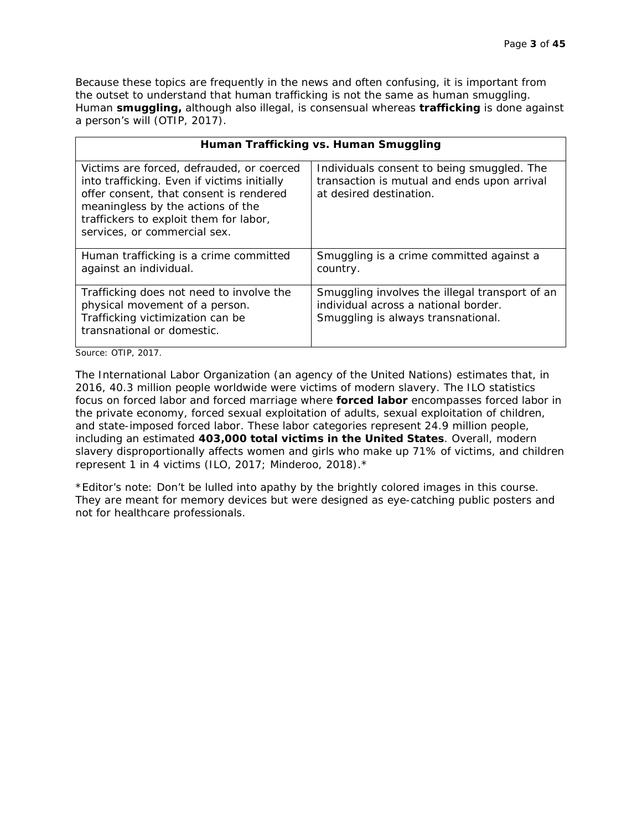Because these topics are frequently in the news and often confusing, it is important from the outset to understand that human trafficking is not the same as human smuggling. Human **smuggling,** although also illegal, is consensual whereas **trafficking** is done against a person's will (OTIP, 2017).

|                                                                                                                                                                                                                                                    | Human Trafficking vs. Human Smuggling                                                                                        |
|----------------------------------------------------------------------------------------------------------------------------------------------------------------------------------------------------------------------------------------------------|------------------------------------------------------------------------------------------------------------------------------|
| Victims are forced, defrauded, or coerced<br>into trafficking. Even if victims initially<br>offer consent, that consent is rendered<br>meaningless by the actions of the<br>traffickers to exploit them for labor,<br>services, or commercial sex. | Individuals consent to being smuggled. The<br>transaction is mutual and ends upon arrival<br>at desired destination.         |
| Human trafficking is a crime committed<br>against an individual.                                                                                                                                                                                   | Smuggling is a crime committed against a<br>country.                                                                         |
| Trafficking does not need to involve the<br>physical movement of a person.<br>Trafficking victimization can be<br>transnational or domestic.                                                                                                       | Smuggling involves the illegal transport of an<br>individual across a national border.<br>Smuggling is always transnational. |

Source: OTIP, 2017.

The International Labor Organization (an agency of the United Nations) estimates that, in 2016, 40.3 million people worldwide were victims of modern slavery. The ILO statistics focus on forced labor and forced marriage where **forced labor** encompasses forced labor in the private economy, forced sexual exploitation of adults, sexual exploitation of children, and state-imposed forced labor. These labor categories represent 24.9 million people, including an estimated **403,000 total victims in the United States**. Overall, modern slavery disproportionally affects women and girls who make up 71% of victims, and children represent 1 in 4 victims (ILO, 2017; Minderoo, 2018).\*

\*Editor's note: Don't be lulled into apathy by the brightly colored images in this course. They are meant for memory devices but were designed as eye-catching public posters and not for healthcare professionals.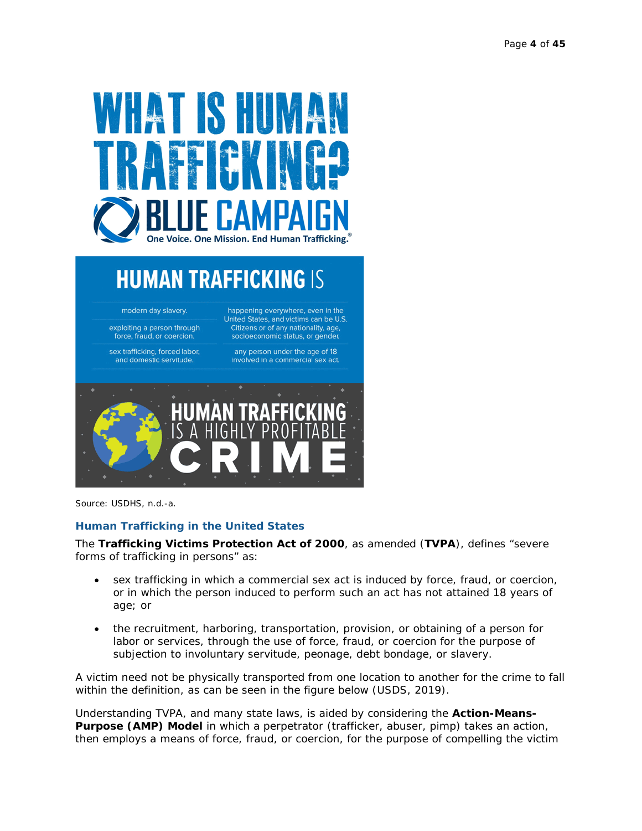

# **HUMAN TRAFFICKING IS**

modern day slavery.

exploiting a person through force, fraud, or coercion.

sex trafficking, forced labor, and domestic servitude.

happening everywhere, even in the United States, and victims can be U.S. Citizens or of any nationality, age,<br>socioeconomic status, or gender.

any person under the age of 18 involved in a commercial sex act.



Source: USDHS, n.d.-a.

#### **Human Trafficking in the United States**

The **Trafficking Victims Protection Act of 2000**, as amended (**TVPA**), defines "severe forms of trafficking in persons" as:

- sex trafficking in which a commercial sex act is induced by force, fraud, or coercion, or in which the person induced to perform such an act has not attained 18 years of age; or
- the recruitment, harboring, transportation, provision, or obtaining of a person for labor or services, through the use of force, fraud, or coercion for the purpose of subjection to involuntary servitude, peonage, debt bondage, or slavery.

A victim need not be physically transported from one location to another for the crime to fall within the definition, as can be seen in the figure below (USDS, 2019).

Understanding TVPA, and many state laws, is aided by considering the **Action-Means-Purpose (AMP) Model** in which a perpetrator (trafficker, abuser, pimp) takes an *action*, then employs a *means* of force, fraud, or coercion, for the *purpose* of compelling the victim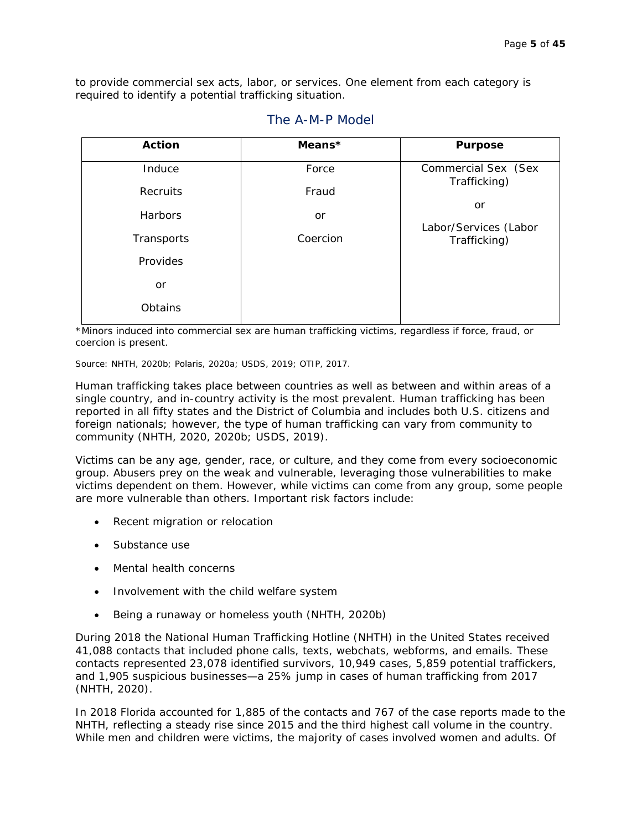to provide commercial sex acts, labor, or services. One element from each category is required to identify a potential trafficking situation.

| <b>Action</b> | Means*   | <b>Purpose</b>                        |
|---------------|----------|---------------------------------------|
| Induce        | Force    | Commercial Sex (Sex<br>Trafficking)   |
| Recruits      | Fraud    |                                       |
| Harbors       | or       | or                                    |
| Transports    | Coercion | Labor/Services (Labor<br>Trafficking) |
| Provides      |          |                                       |
| or            |          |                                       |
| Obtains       |          |                                       |

#### The A-M-P Model

\*Minors induced into commercial sex are human trafficking victims, regardless if force, fraud, or coercion is present.

Source: NHTH, 2020b; Polaris, 2020a; USDS, 2019; OTIP, 2017.

Human trafficking takes place between countries as well as between and within areas of a single country, and in-country activity is the most prevalent. Human trafficking has been reported in all fifty states and the District of Columbia and includes both U.S. citizens and foreign nationals; however, the type of human trafficking can vary from community to community (NHTH, 2020, 2020b; USDS, 2019).

Victims can be any age, gender, race, or culture, and they come from every socioeconomic group. Abusers prey on the weak and vulnerable, leveraging those vulnerabilities to make victims dependent on them. However, while victims can come from any group, some people are more vulnerable than others. Important risk factors include:

- Recent migration or relocation
- Substance use
- Mental health concerns
- Involvement with the child welfare system
- Being a runaway or homeless youth (NHTH, 2020b)

During 2018 the National Human Trafficking Hotline (NHTH) in the United States received 41,088 contacts that included phone calls, texts, webchats, webforms, and emails. These contacts represented 23,078 identified survivors, 10,949 cases, 5,859 potential traffickers, and 1,905 suspicious businesses—a 25% jump in cases of human trafficking from 2017 (NHTH, 2020).

In 2018 Florida accounted for 1,885 of the contacts and 767 of the case reports made to the NHTH, reflecting a steady rise since 2015 and the third highest call volume in the country. While men and children were victims, the majority of cases involved women and adults. Of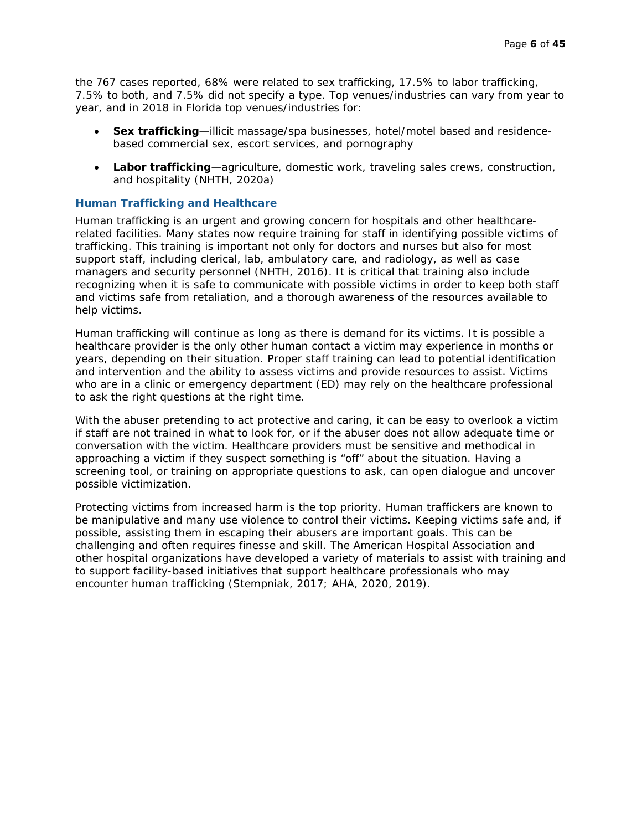the 767 cases reported, 68% were related to sex trafficking, 17.5% to labor trafficking, 7.5% to both, and 7.5% did not specify a type. Top venues/industries can vary from year to year, and in 2018 in Florida top venues/industries for:

- **Sex trafficking**—illicit massage/spa businesses, hotel/motel based and residencebased commercial sex, escort services, and pornography
- **Labor trafficking**—agriculture, domestic work, traveling sales crews, construction, and hospitality (NHTH, 2020a)

#### **Human Trafficking and Healthcare**

Human trafficking is an urgent and growing concern for hospitals and other healthcarerelated facilities. Many states now require training for staff in identifying possible victims of trafficking. This training is important not only for doctors and nurses but also for most support staff, including clerical, lab, ambulatory care, and radiology, as well as case managers and security personnel (NHTH, 2016). It is critical that training also include recognizing when it is safe to communicate with possible victims in order to keep both staff and victims safe from retaliation, and a thorough awareness of the resources available to help victims.

Human trafficking will continue as long as there is demand for its victims. It is possible a healthcare provider is the only other human contact a victim may experience in months or years, depending on their situation. Proper staff training can lead to potential identification and intervention and the ability to assess victims and provide resources to assist. Victims who are in a clinic or emergency department (ED) may rely on the healthcare professional to ask the right questions at the right time.

With the abuser pretending to act protective and caring, it can be easy to overlook a victim if staff are not trained in what to look for, or if the abuser does not allow adequate time or conversation with the victim. Healthcare providers must be sensitive and methodical in approaching a victim if they suspect something is "off" about the situation. Having a screening tool, or training on appropriate questions to ask, can open dialogue and uncover possible victimization.

Protecting victims from increased harm is the top priority. Human traffickers are known to be manipulative and many use violence to control their victims. Keeping victims safe and, if possible, assisting them in escaping their abusers are important goals. This can be challenging and often requires finesse and skill. The American Hospital Association and other hospital organizations have developed a variety of materials to assist with training and to support facility-based initiatives that support healthcare professionals who may encounter human trafficking (Stempniak, 2017; AHA, 2020, 2019).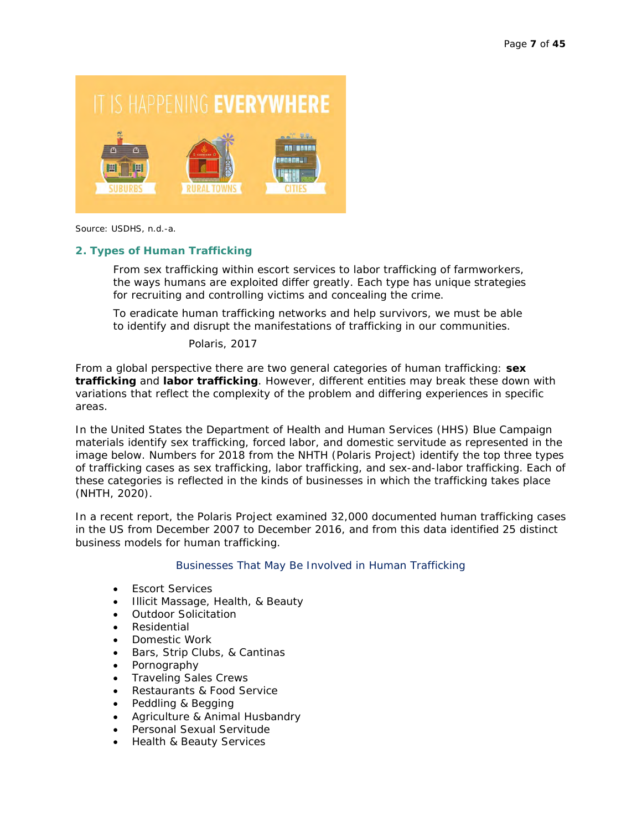# IT IS HAPPENING EVERYWHERE



Source: USDHS, n.d.-a.

#### **2. Types of Human Trafficking**

From sex trafficking within escort services to labor trafficking of farmworkers, the ways humans are exploited differ greatly. Each type has unique strategies for recruiting and controlling victims and concealing the crime.

To eradicate human trafficking networks and help survivors, we must be able to identify and disrupt the manifestations of trafficking in our communities.

Polaris, 2017

From a global perspective there are two general categories of human trafficking: **sex trafficking** and **labor trafficking**. However, different entities may break these down with variations that reflect the complexity of the problem and differing experiences in specific areas.

In the United States the Department of Health and Human Services (HHS) Blue Campaign materials identify sex trafficking, forced labor, and domestic servitude as represented in the image below. Numbers for 2018 from the NHTH (Polaris Project) identify the top three types of trafficking cases as sex trafficking, labor trafficking, and sex-and-labor trafficking. Each of these categories is reflected in the kinds of businesses in which the trafficking takes place (NHTH, 2020).

In a recent report, the Polaris Project examined 32,000 documented human trafficking cases in the US from December 2007 to December 2016, and from this data identified 25 distinct business models for human trafficking.

#### Businesses That May Be Involved in Human Trafficking

- Escort Services
- Illicit Massage, Health, & Beauty
- Outdoor Solicitation
- Residential
- Domestic Work
- Bars, Strip Clubs, & Cantinas
- Pornography
- Traveling Sales Crews
- Restaurants & Food Service
- Peddling & Begging
- Agriculture & Animal Husbandry
- Personal Sexual Servitude
- Health & Beauty Services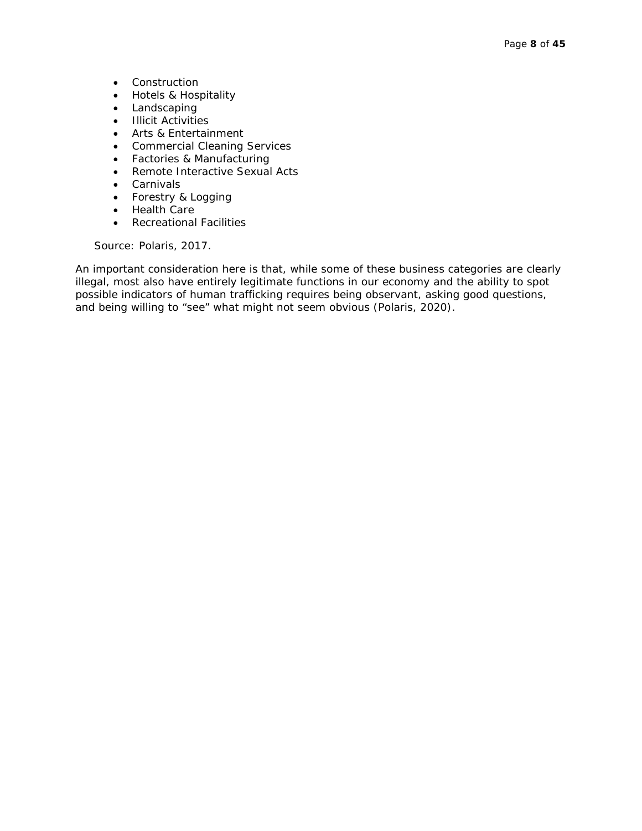- Construction
- Hotels & Hospitality
- Landscaping
- Illicit Activities
- Arts & Entertainment
- Commercial Cleaning Services
- Factories & Manufacturing
- Remote Interactive Sexual Acts
- Carnivals
- Forestry & Logging
- Health Care
- Recreational Facilities

Source: Polaris, 2017.

An important consideration here is that, while some of these business categories are clearly illegal, most also have entirely legitimate functions in our economy and the ability to spot possible indicators of human trafficking requires being observant, asking good questions, and being willing to "see" what might not seem obvious (Polaris, 2020).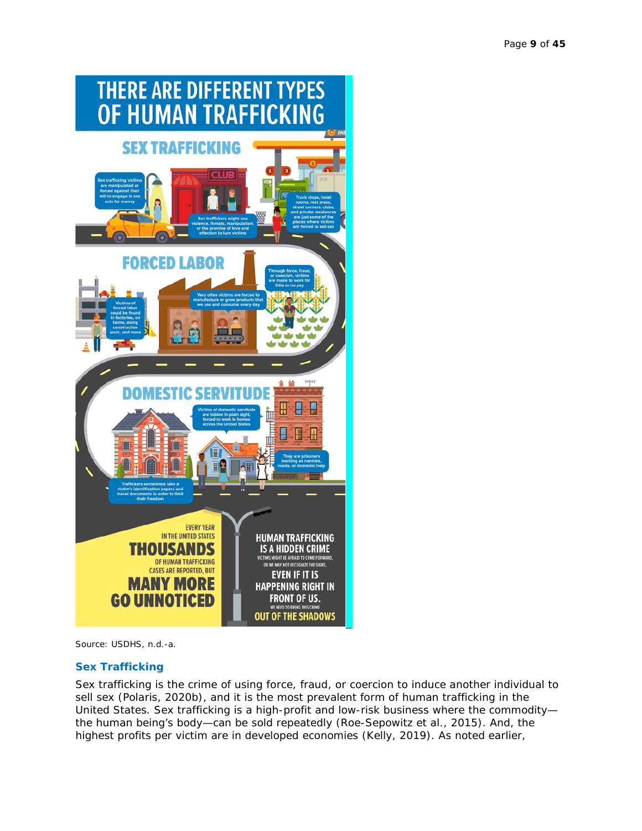

Source: USDHS, n.d.-a.

#### **Sex Trafficking**

Sex trafficking is the crime of using force, fraud, or coercion to induce another individual to sell sex (Polaris, 2020b), and it is the most prevalent form of human trafficking in the United States. Sex trafficking is a high-profit and low-risk business where the commodity the human being's body—can be sold repeatedly (Roe-Sepowitz et al., 2015). And, the highest profits per victim are in developed economies (Kelly, 2019). As noted earlier,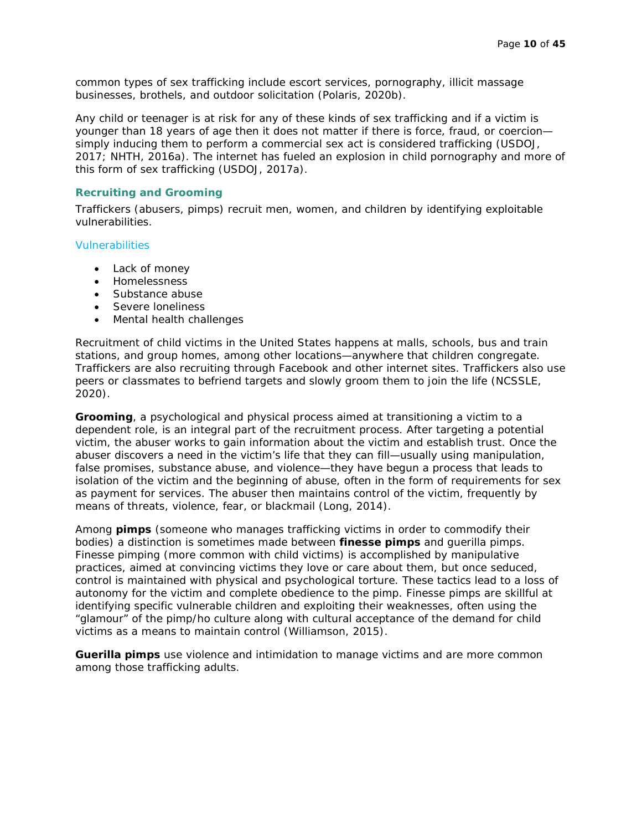common types of sex trafficking include escort services, pornography, illicit massage businesses, brothels, and outdoor solicitation (Polaris, 2020b).

Any child or teenager is at risk for any of these kinds of sex trafficking and if a victim is younger than 18 years of age then it does not matter if there is force, fraud, or coercion simply inducing them to perform a commercial sex act is considered trafficking (USDOJ, 2017; NHTH, 2016a). The internet has fueled an explosion in child pornography and more of this form of sex trafficking (USDOJ, 2017a).

#### **Recruiting and Grooming**

Traffickers (abusers, pimps) recruit men, women, and children by identifying exploitable vulnerabilities.

Vulnerabilities

- Lack of money
- Homelessness
- Substance abuse
- Severe loneliness
- Mental health challenges

Recruitment of child victims in the United States happens at malls, schools, bus and train stations, and group homes, among other locations—anywhere that children congregate. Traffickers are also recruiting through Facebook and other internet sites. Traffickers also use peers or classmates to befriend targets and slowly groom them to join the life (NCSSLE, 2020).

**Grooming**, a psychological and physical process aimed at transitioning a victim to a dependent role, is an integral part of the recruitment process. After targeting a potential victim, the abuser works to gain information about the victim and establish trust. Once the abuser discovers a need in the victim's life that they can fill—usually using manipulation, false promises, substance abuse, and violence—they have begun a process that leads to isolation of the victim and the beginning of abuse, often in the form of requirements for sex as payment for services. The abuser then maintains control of the victim, frequently by means of threats, violence, fear, or blackmail (Long, 2014).

Among **pimps** (someone who manages trafficking victims in order to commodify their bodies) a distinction is sometimes made between **finesse pimps** and guerilla pimps. Finesse pimping (more common with child victims) is accomplished by manipulative practices, aimed at convincing victims they love or care about them, but once seduced, control is maintained with physical and psychological torture. These tactics lead to a loss of autonomy for the victim and complete obedience to the pimp. Finesse pimps are skillful at identifying specific vulnerable children and exploiting their weaknesses, often using the "glamour" of the pimp/ho culture along with cultural acceptance of the demand for child victims as a means to maintain control (Williamson, 2015).

**Guerilla pimps** use violence and intimidation to manage victims and are more common among those trafficking adults.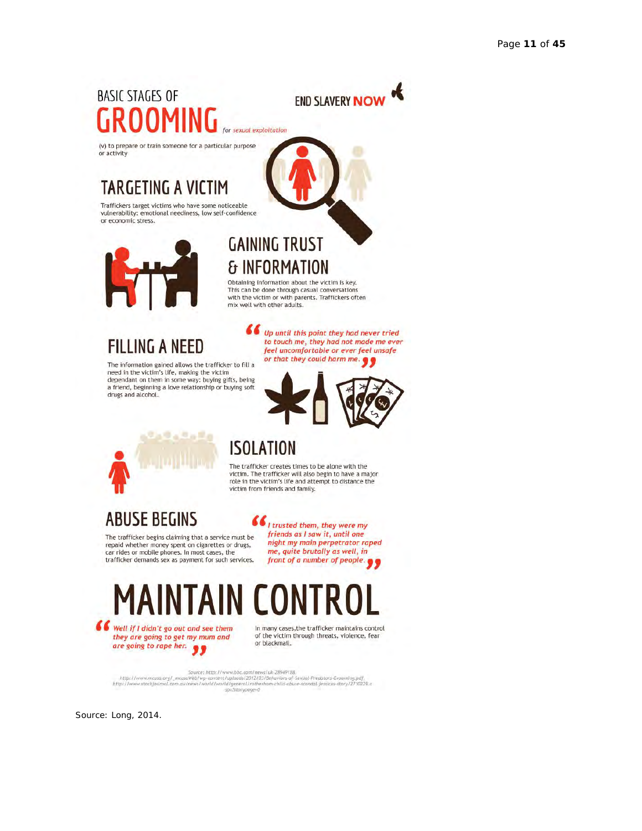# **BASIC STAGES OF** for sexual exploitation



(v) to prepare or train someone for a particular purpose<br>or activity

# **TARGETING A V**

Traffickers target victims who have some noticeable vulnerability: emotional neediness, low self-confidence<br>or economic stress.



### **& INFORMATION** Obtaining information about the victim is key.<br>This can be done through casual conversations<br>with the victim or with parents. Traffickers often

**GAINING TRUST** 

mix well with other adults.

# **FILLING A NEED**

The information gained allows the trafficker to fill a<br>need in the victim's life, making the victim dependant on them in some way: buying gifts, being a friend, beginning a love relationship or buying soft drugs and alcohol.



66 Up until this point they had never tried to touch me, they had not made me ever

feel uncomfortable or ever feel unsafe



## **ISOLATION**

The trafficker creates times to be alone with the victim. The trafficker will also begin to have a major role in the victim's life and attempt to distance the<br>victim from friends and family.

## **ABUSE BEGINS**

The trafficker begins claiming that a service must be repaid whether money spent on cigarettes or drugs,<br>car rides or mobile phones. In most cases, the trafficker demands sex as payment for such services.

 $\epsilon$   $\epsilon$  i trusted them, they were my friends as I saw it, until one night my main perpetrator raped me, quite brutally as well, in front of a number of people.



they are going to get my mum and they are going to get my mu

In many cases, the trafficker maintains control of the victim through threats, violence, fear or blackmail.

Source: http://www.bbc.com/news/uk-28949188,<br>http://www.mcasa.org/\_mcassWeb/wp-content/uploads/2012/03/Behaviors-af-Sexual-Predators-Grooming.pdf,<br>http://www.stockjournal.com.au/news/world/world/general/rotherham-child-abu

Source: Long, 2014.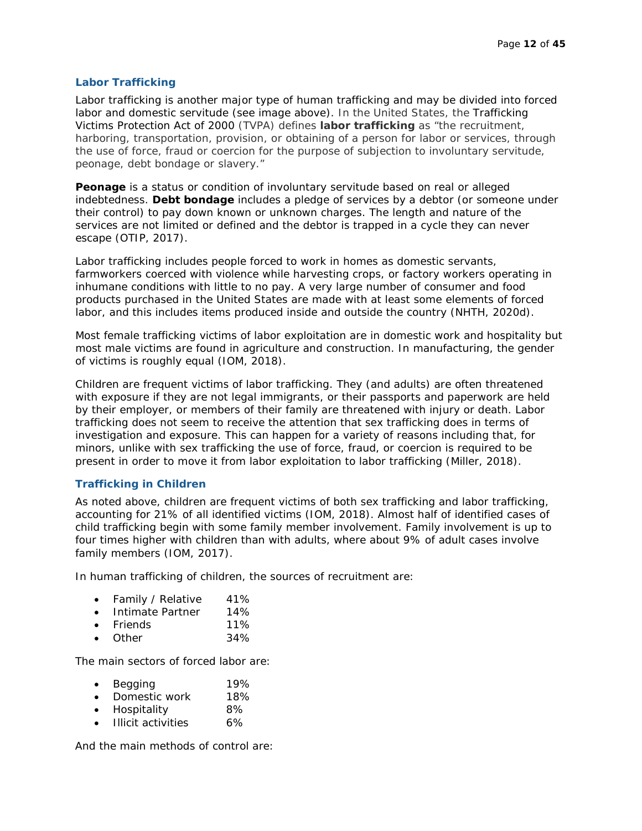#### **Labor Trafficking**

Labor trafficking is another major type of human trafficking and may be divided into forced labor and domestic servitude (see image above). In the United States, the Trafficking Victims Protection Act of 2000 (TVPA) defines **labor trafficking** as "the recruitment, harboring, transportation, provision, or obtaining of a person for labor or services, through the use of force, fraud or coercion for the purpose of subjection to involuntary servitude, peonage, debt bondage or slavery."

**Peonage** is a status or condition of involuntary servitude based on real or alleged indebtedness. **Debt bondage** includes a pledge of services by a debtor (or someone under their control) to pay down known or unknown charges. The length and nature of the services are not limited or defined and the debtor is trapped in a cycle they can never escape (OTIP, 2017).

Labor trafficking includes people forced to work in homes as domestic servants, farmworkers coerced with violence while harvesting crops, or factory workers operating in inhumane conditions with little to no pay. A very large number of consumer and food products purchased in the United States are made with at least some elements of forced labor, and this includes items produced inside and outside the country (NHTH, 2020d).

Most female trafficking victims of labor exploitation are in domestic work and hospitality but most male victims are found in agriculture and construction. In manufacturing, the gender of victims is roughly equal (IOM, 2018).

Children are frequent victims of labor trafficking. They (and adults) are often threatened with exposure if they are not legal immigrants, or their passports and paperwork are held by their employer, or members of their family are threatened with injury or death. Labor trafficking does not seem to receive the attention that sex trafficking does in terms of investigation and exposure. This can happen for a variety of reasons including that, for minors, unlike with sex trafficking the use of force, fraud, or coercion is required to be present in order to move it from labor exploitation to labor trafficking (Miller, 2018).

#### **Trafficking in Children**

As noted above, children are frequent victims of both sex trafficking and labor trafficking, accounting for 21% of all identified victims (IOM, 2018). Almost half of identified cases of child trafficking begin with some family member involvement. Family involvement is up to four times higher with children than with adults, where about 9% of adult cases involve family members (IOM, 2017).

In human trafficking of children, the sources of recruitment are:

- Family / Relative 41%
- Intimate Partner 14%
- Friends 11%
- Other 34%

The main sectors of forced labor are:

| Begging       | 19%   |
|---------------|-------|
| Domootio work | 1.00/ |

- Domestic work 18%
- Hospitality 8%
- Illicit activities 6%

And the main methods of control are: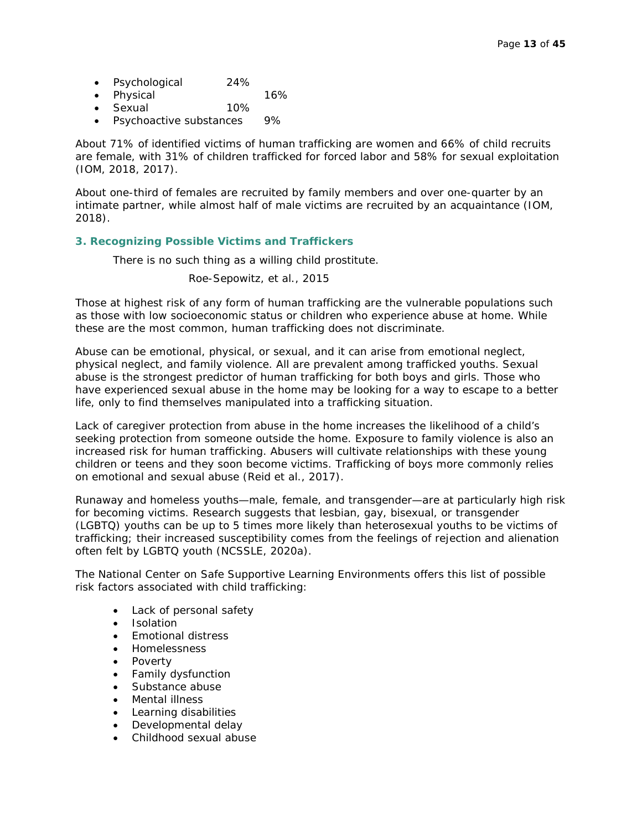- Psychological 24%
- Physical 16%
- Sexual 10%
- Psychoactive substances 9%

About 71% of identified victims of human trafficking are women and 66% of child recruits are female, with 31% of children trafficked for forced labor and 58% for sexual exploitation (IOM, 2018, 2017).

About one-third of females are recruited by family members and over one-quarter by an intimate partner, while almost half of male victims are recruited by an acquaintance (IOM, 2018).

#### **3. Recognizing Possible Victims and Traffickers**

There is no such thing as a *willing* child prostitute.

Roe-Sepowitz, et al., 2015

Those at highest risk of any form of human trafficking are the vulnerable populations such as those with low socioeconomic status or children who experience abuse at home. While these are the most common, human trafficking does not discriminate.

Abuse can be emotional, physical, or sexual, and it can arise from emotional neglect, physical neglect, and family violence. All are prevalent among trafficked youths. Sexual abuse is the strongest predictor of human trafficking for both boys and girls. Those who have experienced sexual abuse in the home may be looking for a way to escape to a better life, only to find themselves manipulated into a trafficking situation.

Lack of caregiver protection from abuse in the home increases the likelihood of a child's seeking protection from someone outside the home. Exposure to family violence is also an increased risk for human trafficking. Abusers will cultivate relationships with these young children or teens and they soon become victims. Trafficking of boys more commonly relies on emotional and sexual abuse (Reid et al., 2017).

Runaway and homeless youths—male, female, and transgender—are at particularly high risk for becoming victims. Research suggests that lesbian, gay, bisexual, or transgender (LGBTQ) youths can be up to 5 times more likely than heterosexual youths to be victims of trafficking; their increased susceptibility comes from the feelings of rejection and alienation often felt by LGBTQ youth (NCSSLE, 2020a).

The National Center on Safe Supportive Learning Environments offers this list of possible risk factors associated with child trafficking:

- Lack of personal safety
- Isolation
- Emotional distress
- Homelessness
- Poverty
- Family dysfunction
- Substance abuse
- Mental illness
- Learning disabilities
- Developmental delay
- Childhood sexual abuse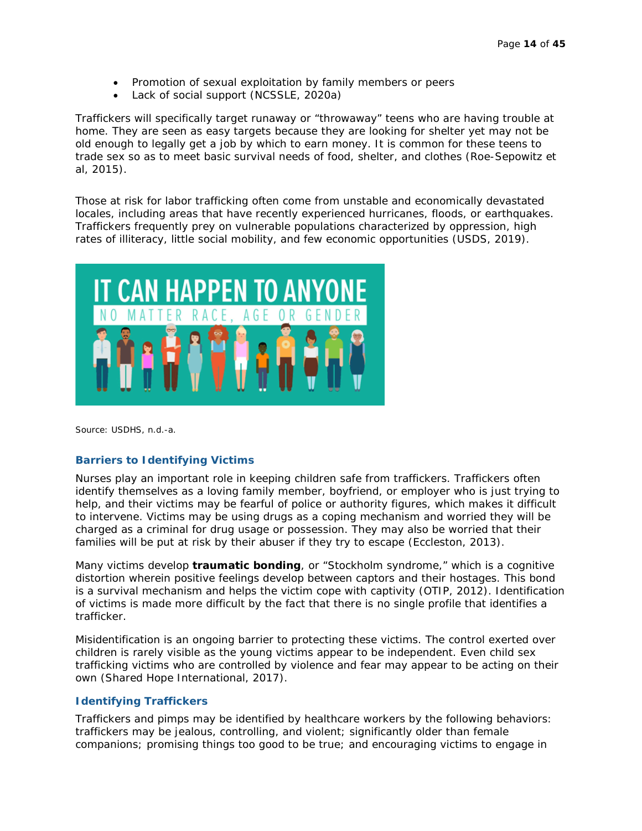- Promotion of sexual exploitation by family members or peers
- Lack of social support (NCSSLE, 2020a)

Traffickers will specifically target runaway or "throwaway" teens who are having trouble at home. They are seen as easy targets because they are looking for shelter yet may not be old enough to legally get a job by which to earn money. It is common for these teens to trade sex so as to meet basic survival needs of food, shelter, and clothes (Roe-Sepowitz et al, 2015).

Those at risk for labor trafficking often come from unstable and economically devastated locales, including areas that have recently experienced hurricanes, floods, or earthquakes. Traffickers frequently prey on vulnerable populations characterized by oppression, high rates of illiteracy, little social mobility, and few economic opportunities (USDS, 2019).



Source: USDHS, n.d.-a.

#### **Barriers to Identifying Victims**

Nurses play an important role in keeping children safe from traffickers. Traffickers often identify themselves as a loving family member, boyfriend, or employer who is just trying to help, and their victims may be fearful of police or authority figures, which makes it difficult to intervene. Victims may be using drugs as a coping mechanism and worried they will be charged as a criminal for drug usage or possession. They may also be worried that their families will be put at risk by their abuser if they try to escape (Eccleston, 2013).

Many victims develop **traumatic bonding**, or "Stockholm syndrome," which is a cognitive distortion wherein positive feelings develop between captors and their hostages. This bond is a survival mechanism and helps the victim cope with captivity (OTIP, 2012). Identification of victims is made more difficult by the fact that there is no single profile that identifies a trafficker.

Misidentification is an ongoing barrier to protecting these victims. The control exerted over children is rarely visible as the young victims appear to be independent. Even child sex trafficking victims who are controlled by violence and fear may appear to be acting on their own (Shared Hope International, 2017).

#### **Identifying Traffickers**

Traffickers and pimps may be identified by healthcare workers by the following behaviors: traffickers may be jealous, controlling, and violent; significantly older than female companions; promising things too good to be true; and encouraging victims to engage in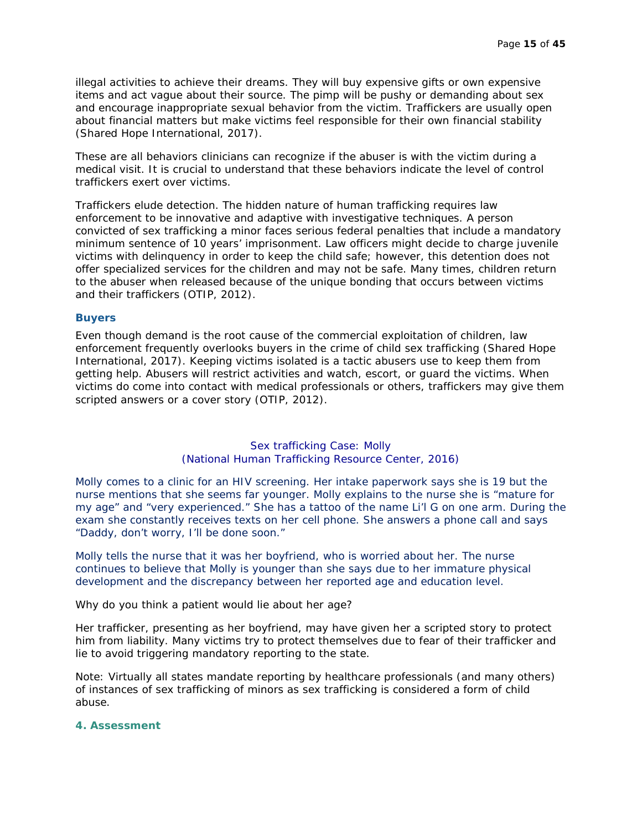illegal activities to achieve their dreams. They will buy expensive gifts or own expensive items and act vague about their source. The pimp will be pushy or demanding about sex and encourage inappropriate sexual behavior from the victim. Traffickers are usually open about financial matters but make victims feel responsible for their own financial stability (Shared Hope International, 2017).

These are all behaviors clinicians can recognize if the abuser is with the victim during a medical visit. It is crucial to understand that these behaviors indicate the level of control traffickers exert over victims.

Traffickers elude detection. The hidden nature of human trafficking requires law enforcement to be innovative and adaptive with investigative techniques. A person convicted of sex trafficking a minor faces serious federal penalties that include a mandatory minimum sentence of 10 years' imprisonment. Law officers might decide to charge juvenile victims with delinquency in order to keep the child safe; however, this detention does not offer specialized services for the children and may not be safe. Many times, children return to the abuser when released because of the unique bonding that occurs between victims and their traffickers (OTIP, 2012).

#### **Buyers**

Even though demand is the root cause of the commercial exploitation of children, law enforcement frequently overlooks buyers in the crime of child sex trafficking (Shared Hope International, 2017). Keeping victims isolated is a tactic abusers use to keep them from getting help. Abusers will restrict activities and watch, escort, or guard the victims. When victims do come into contact with medical professionals or others, traffickers may give them scripted answers or a cover story (OTIP, 2012).

#### Sex trafficking Case: Molly (National Human Trafficking Resource Center, 2016)

*Molly comes to a clinic for an HIV screening. Her intake paperwork says she is 19 but the nurse mentions that she seems far younger. Molly explains to the nurse she is "mature for my age" and "very experienced." She has a tattoo of the name* Li'l G *on one arm. During the exam she constantly receives texts on her cell phone. She answers a phone call and says "Daddy, don't worry, I'll be done soon."*

*Molly tells the nurse that it was her boyfriend, who is worried about her. The nurse continues to believe that Molly is younger than she says due to her immature physical development and the discrepancy between her reported age and education level.*

Why do you think a patient would lie about her age?

Her trafficker, presenting as her boyfriend, may have given her a scripted story to protect him from liability. Many victims try to protect themselves due to fear of their trafficker and lie to avoid triggering mandatory reporting to the state.

Note: Virtually all states mandate reporting by healthcare professionals (and many others) of instances of sex trafficking of minors as sex trafficking is considered a form of child abuse.

#### **4. Assessment**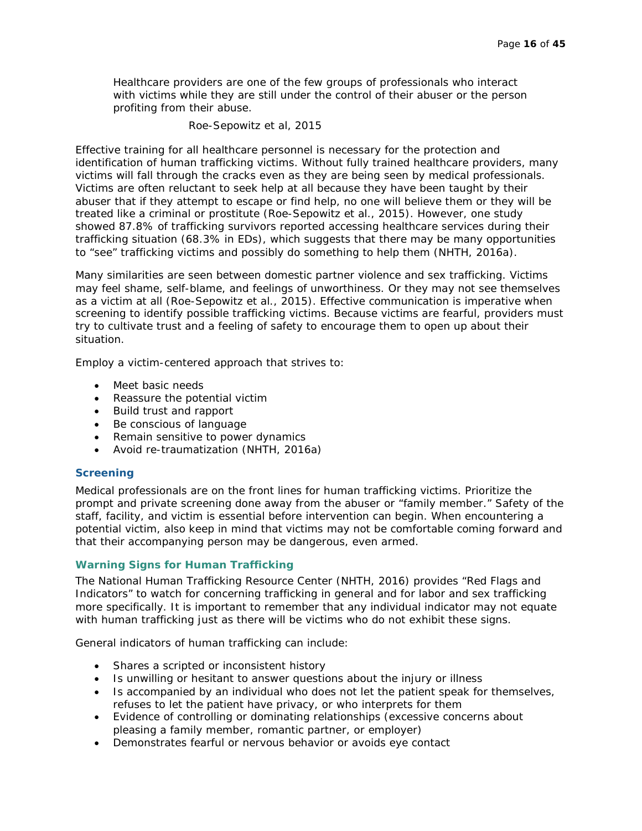Healthcare providers are one of the few groups of professionals who interact with victims while they are still under the control of their abuser or the person profiting from their abuse.

#### Roe-Sepowitz et al, 2015

Effective training for all healthcare personnel is necessary for the protection and identification of human trafficking victims. Without fully trained healthcare providers, many victims will fall through the cracks even as they are being seen by medical professionals. Victims are often reluctant to seek help at all because they have been taught by their abuser that if they attempt to escape or find help, no one will believe them or they will be treated like a criminal or prostitute (Roe-Sepowitz et al., 2015). However, one study showed 87.8% of trafficking survivors reported accessing healthcare services during their trafficking situation (68.3% in EDs), which suggests that there may be many opportunities to "see" trafficking victims and possibly do something to help them (NHTH, 2016a).

Many similarities are seen between domestic partner violence and sex trafficking. Victims may feel shame, self-blame, and feelings of unworthiness. Or they may not see themselves as a victim at all (Roe-Sepowitz et al., 2015). Effective communication is imperative when screening to identify possible trafficking victims. Because victims are fearful, providers must try to cultivate trust and a feeling of safety to encourage them to open up about their situation.

Employ a victim-centered approach that strives to:

- Meet basic needs
- Reassure the potential victim
- Build trust and rapport
- Be conscious of language
- Remain sensitive to power dynamics
- Avoid re-traumatization (NHTH, 2016a)

#### **Screening**

Medical professionals are on the front lines for human trafficking victims. Prioritize the prompt and private screening done away from the abuser or "family member." Safety of the staff, facility, and victim is essential before intervention can begin. When encountering a potential victim, also keep in mind that victims may not be comfortable coming forward and that their accompanying person may be dangerous, even armed.

#### **Warning Signs for Human Trafficking**

The National Human Trafficking Resource Center (NHTH, 2016) provides "Red Flags and Indicators" to watch for concerning trafficking in general and for labor and sex trafficking more specifically. It is important to remember that any individual indicator may not equate with human trafficking just as there will be victims who do not exhibit these signs.

General indicators of human trafficking can include:

- Shares a scripted or inconsistent history
- Is unwilling or hesitant to answer questions about the injury or illness
- Is accompanied by an individual who does not let the patient speak for themselves, refuses to let the patient have privacy, or who interprets for them
- Evidence of controlling or dominating relationships (excessive concerns about pleasing a family member, romantic partner, or employer)
- Demonstrates fearful or nervous behavior or avoids eye contact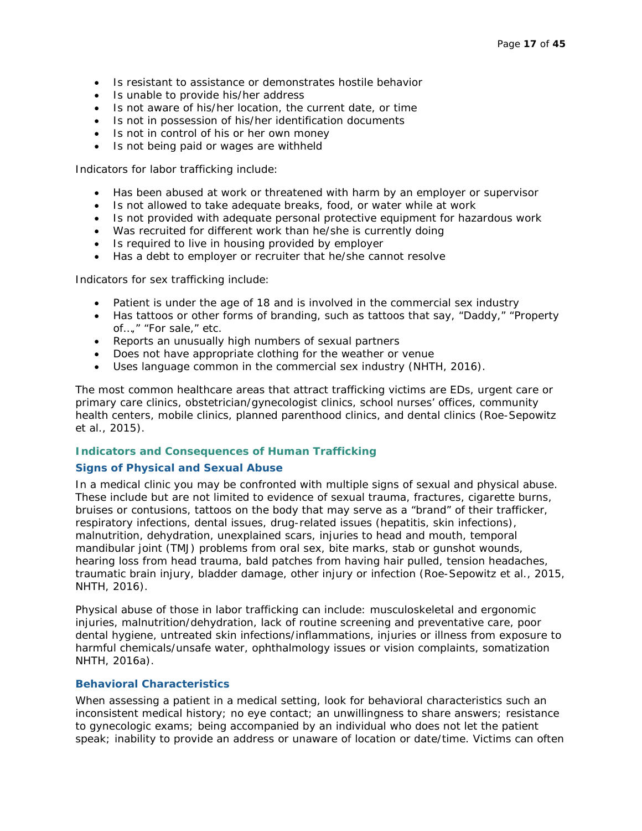- Is resistant to assistance or demonstrates hostile behavior
- Is unable to provide his/her address
- Is not aware of his/her location, the current date, or time
- Is not in possession of his/her identification documents
- Is not in control of his or her own money
- Is not being paid or wages are withheld

Indicators for labor trafficking include:

- Has been abused at work or threatened with harm by an employer or supervisor
- Is not allowed to take adequate breaks, food, or water while at work
- Is not provided with adequate personal protective equipment for hazardous work
- Was recruited for different work than he/she is currently doing
- Is required to live in housing provided by employer
- Has a debt to employer or recruiter that he/she cannot resolve

Indicators for sex trafficking include:

- Patient is under the age of 18 and is involved in the commercial sex industry
- Has tattoos or other forms of branding, such as tattoos that say, "Daddy," "Property of…," "For sale," etc.
- Reports an unusually high numbers of sexual partners
- Does not have appropriate clothing for the weather or venue
- Uses language common in the commercial sex industry (NHTH, 2016).

The most common healthcare areas that attract trafficking victims are EDs, urgent care or primary care clinics, obstetrician/gynecologist clinics, school nurses' offices, community health centers, mobile clinics, planned parenthood clinics, and dental clinics (Roe-Sepowitz et al., 2015).

#### **Indicators and Consequences of Human Trafficking**

#### **Signs of Physical and Sexual Abuse**

In a medical clinic you may be confronted with multiple signs of sexual and physical abuse. These include but are not limited to evidence of sexual trauma, fractures, cigarette burns, bruises or contusions, tattoos on the body that may serve as a "brand" of their trafficker, respiratory infections, dental issues, drug-related issues (hepatitis, skin infections), malnutrition, dehydration, unexplained scars, injuries to head and mouth, temporal mandibular joint (TMJ) problems from oral sex, bite marks, stab or gunshot wounds, hearing loss from head trauma, bald patches from having hair pulled, tension headaches, traumatic brain injury, bladder damage, other injury or infection (Roe-Sepowitz et al., 2015, NHTH, 2016).

Physical abuse of those in labor trafficking can include: musculoskeletal and ergonomic injuries, malnutrition/dehydration, lack of routine screening and preventative care, poor dental hygiene, untreated skin infections/inflammations, injuries or illness from exposure to harmful chemicals/unsafe water, ophthalmology issues or vision complaints, somatization NHTH, 2016a).

#### **Behavioral Characteristics**

When assessing a patient in a medical setting, look for behavioral characteristics such an inconsistent medical history; no eye contact; an unwillingness to share answers; resistance to gynecologic exams; being accompanied by an individual who does not let the patient speak; inability to provide an address or unaware of location or date/time. Victims can often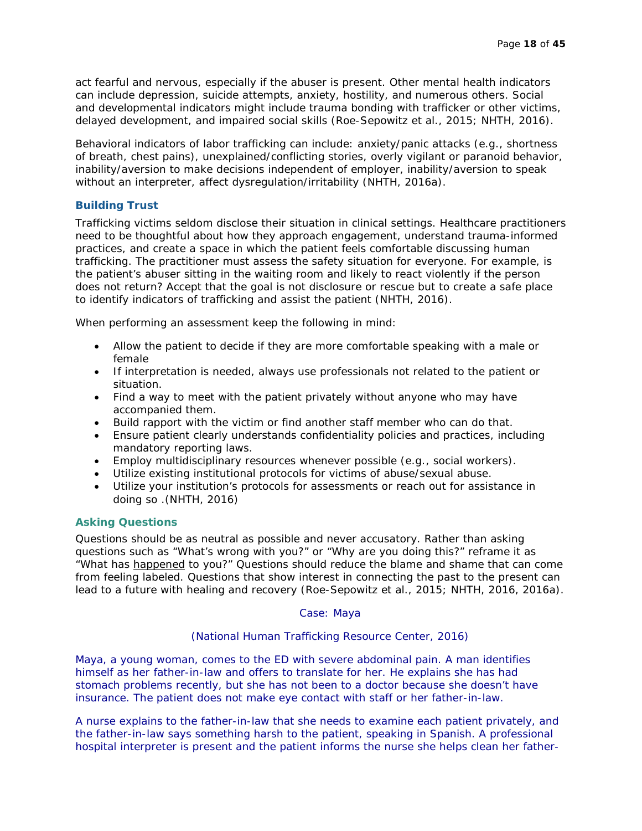act fearful and nervous, especially if the abuser is present. Other mental health indicators can include depression, suicide attempts, anxiety, hostility, and numerous others. Social and developmental indicators might include trauma bonding with trafficker or other victims, delayed development, and impaired social skills (Roe-Sepowitz et al., 2015; NHTH, 2016).

Behavioral indicators of labor trafficking can include: anxiety/panic attacks (e.g., shortness of breath, chest pains), unexplained/conflicting stories, overly vigilant or paranoid behavior, inability/aversion to make decisions independent of employer, inability/aversion to speak without an interpreter, affect dysregulation/irritability (NHTH, 2016a).

#### **Building Trust**

Trafficking victims seldom disclose their situation in clinical settings. Healthcare practitioners need to be thoughtful about how they approach engagement, understand trauma-informed practices, and create a space in which the patient feels comfortable discussing human trafficking. The practitioner must assess the safety situation for everyone. For example, is the patient's abuser sitting in the waiting room and likely to react violently if the person does not return? Accept that the goal is not disclosure or rescue but to create a safe place to identify indicators of trafficking and assist the patient (NHTH, 2016).

When performing an assessment keep the following in mind:

- Allow the patient to decide if they are more comfortable speaking with a male or female
- If interpretation is needed, always use professionals not related to the patient or situation.
- Find a way to meet with the patient privately without anyone who may have accompanied them.
- Build rapport with the victim or find another staff member who can do that.
- Ensure patient clearly understands confidentiality policies and practices, including mandatory reporting laws.
- Employ multidisciplinary resources whenever possible (e.g., social workers).
- Utilize existing institutional protocols for victims of abuse/sexual abuse.
- Utilize your institution's protocols for assessments or reach out for assistance in doing so .(NHTH, 2016)

#### **Asking Questions**

Questions should be as neutral as possible and never accusatory. Rather than asking questions such as "What's wrong with you?" or "Why are you doing this?" reframe it as "What has happened to you?" Questions should reduce the blame and shame that can come from feeling labeled. Questions that show interest in connecting the past to the present can lead to a future with healing and recovery (Roe-Sepowitz et al., 2015; NHTH, 2016, 2016a).

#### Case: Maya

(National Human Trafficking Resource Center, 2016)

*Maya, a young woman, comes to the ED with severe abdominal pain. A man identifies himself as her father-in-law and offers to translate for her. He explains she has had stomach problems recently, but she has not been to a doctor because she doesn't have insurance. The patient does not make eye contact with staff or her father-in-law.*

*A nurse explains to the father-in-law that she needs to examine each patient privately, and the father-in-law says something harsh to the patient, speaking in Spanish. A professional hospital interpreter is present and the patient informs the nurse she helps clean her father-*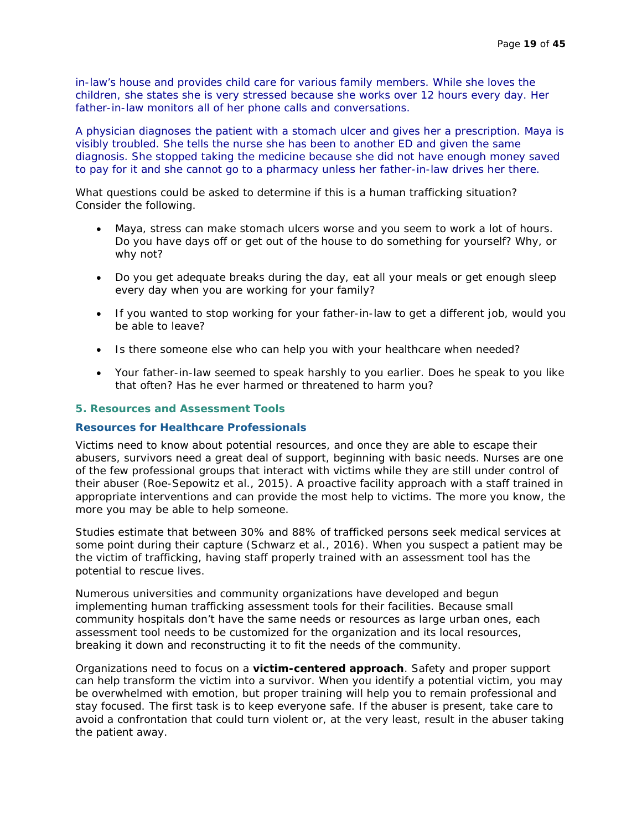*in-law's house and provides child care for various family members. While she loves the children, she states she is very stressed because she works over 12 hours every day. Her father-in-law monitors all of her phone calls and conversations.* 

*A physician diagnoses the patient with a stomach ulcer and gives her a prescription. Maya is visibly troubled. She tells the nurse she has been to another ED and given the same diagnosis. She stopped taking the medicine because she did not have enough money saved to pay for it and she cannot go to a pharmacy unless her father-in-law drives her there.* 

What questions could be asked to determine if this is a human trafficking situation? Consider the following.

- Maya, stress can make stomach ulcers worse and you seem to work a lot of hours. Do you have days off or get out of the house to do something for yourself? Why, or why not?
- Do you get adequate breaks during the day, eat all your meals or get enough sleep every day when you are working for your family?
- If you wanted to stop working for your father-in-law to get a different job, would you be able to leave?
- Is there someone else who can help you with your healthcare when needed?
- Your father-in-law seemed to speak harshly to you earlier. Does he speak to you like that often? Has he ever harmed or threatened to harm you?

#### **5. Resources and Assessment Tools**

#### **Resources for Healthcare Professionals**

Victims need to know about potential resources, and once they are able to escape their abusers, survivors need a great deal of support, beginning with basic needs. Nurses are one of the few professional groups that interact with victims while they are still under control of their abuser (Roe-Sepowitz et al., 2015). A proactive facility approach with a staff trained in appropriate interventions and can provide the most help to victims. The more you know, the more you may be able to help someone.

Studies estimate that between 30% and 88% of trafficked persons seek medical services at some point during their capture (Schwarz et al., 2016). When you suspect a patient may be the victim of trafficking, having staff properly trained with an assessment tool has the potential to rescue lives.

Numerous universities and community organizations have developed and begun implementing human trafficking assessment tools for their facilities. Because small community hospitals don't have the same needs or resources as large urban ones, each assessment tool needs to be customized for the organization and its local resources, breaking it down and reconstructing it to fit the needs of the community.

Organizations need to focus on a **victim-centered approach**. Safety and proper support can help transform the victim into a survivor. When you identify a potential victim, you may be overwhelmed with emotion, but proper training will help you to remain professional and stay focused. The first task is to keep everyone safe. If the abuser is present, take care to avoid a confrontation that could turn violent or, at the very least, result in the abuser taking the patient away.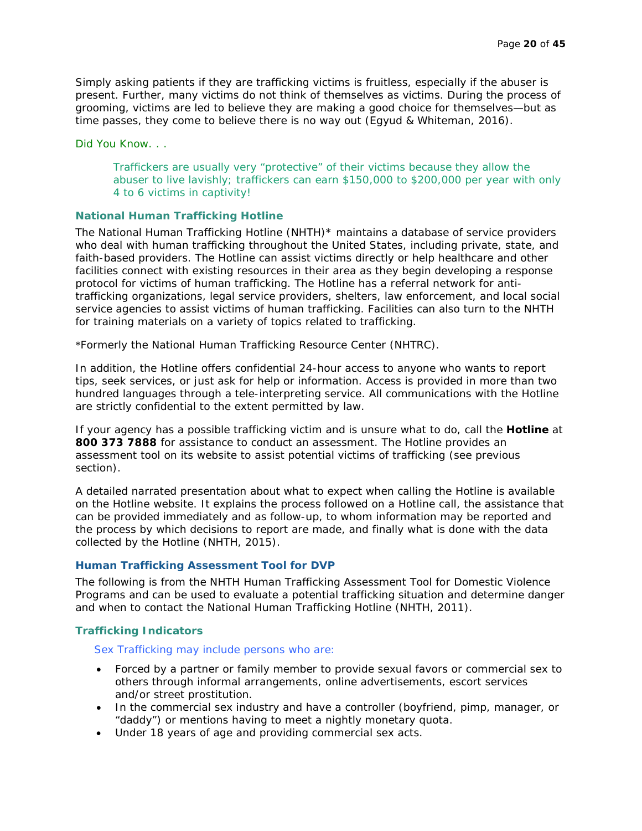Simply asking patients if they are trafficking victims is fruitless, especially if the abuser is present. Further, many victims do not think of themselves as victims. During the process of grooming, victims are led to believe they are making a good choice for themselves—but as time passes, they come to believe there is no way out (Egyud & Whiteman, 2016).

Did You Know. . .

Traffickers are usually very "protective" of their victims because they allow the abuser to live lavishly; traffickers can earn \$150,000 to \$200,000 per year with only 4 to 6 victims in captivity!

#### **National Human Trafficking Hotline**

The National Human Trafficking Hotline (NHTH)\* maintains a database of service providers who deal with human trafficking throughout the United States, including private, state, and faith-based providers. The Hotline can assist victims directly or help healthcare and other facilities connect with existing resources in their area as they begin developing a response protocol for victims of human trafficking. The Hotline has a referral network for antitrafficking organizations, legal service providers, shelters, law enforcement, and local social service agencies to assist victims of human trafficking. Facilities can also turn to the NHTH for training materials on a variety of topics related to trafficking.

\*Formerly the National Human Trafficking Resource Center (NHTRC).

In addition, the Hotline offers confidential 24-hour access to anyone who wants to report tips, seek services, or just ask for help or information. Access is provided in more than two hundred languages through a tele-interpreting service. All communications with the Hotline are strictly confidential to the extent permitted by law.

If your agency has a possible trafficking victim and is unsure what to do, call the **Hotline** at **800 373 7888** for assistance to conduct an assessment. The Hotline provides an assessment tool on its website to assist potential victims of trafficking (see previous section).

A detailed narrated presentation about what to expect when calling the Hotline is available on the Hotline website. It explains the process followed on a Hotline call, the assistance that can be provided immediately and as follow-up, to whom information may be reported and the process by which decisions to report are made, and finally what is done with the data collected by the Hotline (NHTH, 2015).

#### **Human Trafficking Assessment Tool for DVP**

The following is from the NHTH Human Trafficking Assessment Tool for Domestic Violence Programs and can be used to evaluate a potential trafficking situation and determine danger and when to contact the National Human Trafficking Hotline (NHTH, 2011).

#### **Trafficking Indicators**

#### Sex Trafficking may include persons who are:

- Forced by a partner or family member to provide sexual favors or commercial sex to others through informal arrangements, online advertisements, escort services and/or street prostitution.
- In the commercial sex industry and have a controller (boyfriend, pimp, manager, or "daddy") or mentions having to meet a nightly monetary quota.
- Under 18 years of age and providing commercial sex acts.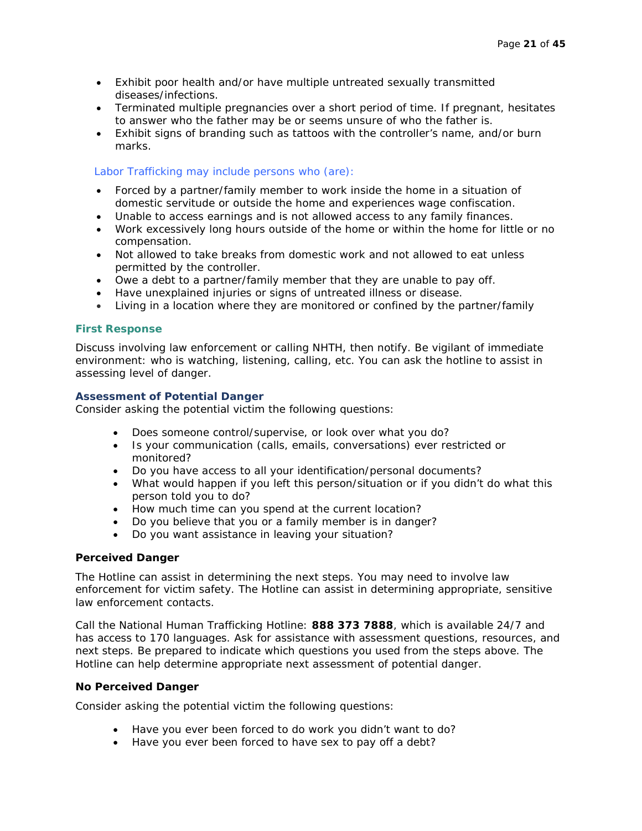- Exhibit poor health and/or have multiple untreated sexually transmitted diseases/infections.
- Terminated multiple pregnancies over a short period of time. If pregnant, hesitates to answer who the father may be or seems unsure of who the father is.
- Exhibit signs of branding such as tattoos with the controller's name, and/or burn marks.

#### Labor Trafficking may include persons who (are):

- Forced by a partner/family member to work inside the home in a situation of domestic servitude or outside the home and experiences wage confiscation.
- Unable to access earnings and is not allowed access to any family finances.
- Work excessively long hours outside of the home or within the home for little or no compensation.
- Not allowed to take breaks from domestic work and not allowed to eat unless permitted by the controller.
- Owe a debt to a partner/family member that they are unable to pay off.
- Have unexplained injuries or signs of untreated illness or disease.
- Living in a location where they are monitored or confined by the partner/family

#### **First Response**

Discuss involving law enforcement or calling NHTH, then notify. Be vigilant of immediate environment: who is watching, listening, calling, etc. You can ask the hotline to assist in assessing level of danger.

#### **Assessment of Potential Danger**

Consider asking the potential victim the following questions:

- Does someone control/supervise, or look over what you do?
- Is your communication (calls, emails, conversations) ever restricted or monitored?
- Do you have access to all your identification/personal documents?
- What would happen if you left this person/situation or if you didn't do what this person told you to do?
- How much time can you spend at the current location?
- Do you believe that you or a family member is in danger?
- Do you want assistance in leaving your situation?

#### **Perceived Danger**

The Hotline can assist in determining the next steps. You may need to involve law enforcement for victim safety. The Hotline can assist in determining appropriate, sensitive law enforcement contacts.

Call the National Human Trafficking Hotline: **888 373 7888**, which is available 24/7 and has access to 170 languages. Ask for assistance with assessment questions, resources, and next steps. Be prepared to indicate which questions you used from the steps above. The Hotline can help determine appropriate next assessment of potential danger.

#### **No Perceived Danger**

Consider asking the potential victim the following questions:

- Have you ever been forced to do work you didn't want to do?
- Have you ever been forced to have sex to pay off a debt?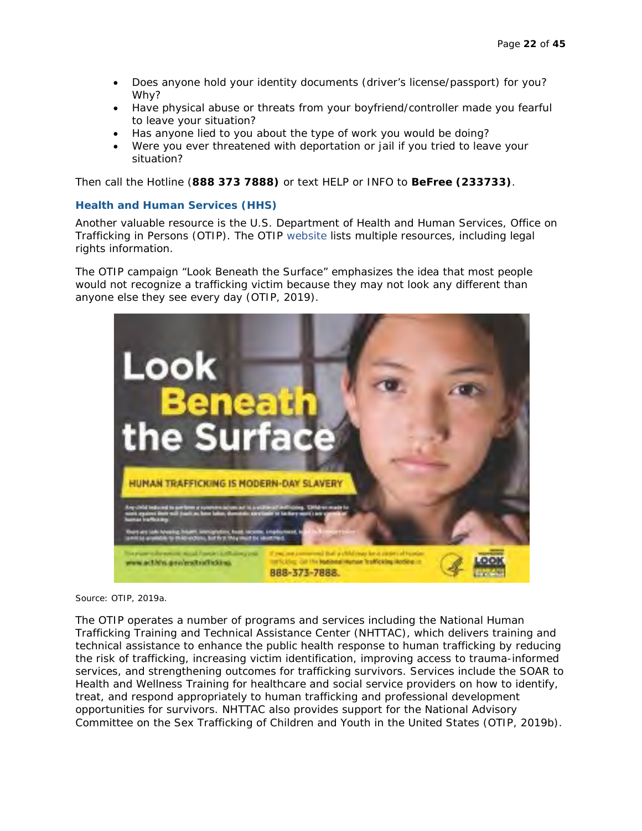- Does anyone hold your identity documents (driver's license/passport) for you? Why?
- Have physical abuse or threats from your boyfriend/controller made you fearful to leave your situation?
- Has anyone lied to you about the type of work you would be doing?
- Were you ever threatened with deportation or jail if you tried to leave your situation?

Then call the Hotline (**888 373 7888)** or text HELP or INFO to **BeFree (233733)**.

#### **Health and Human Services (HHS)**

Another valuable resource is the U.S. Department of Health and Human Services, Office on Trafficking in Persons (OTIP). The OTIP website lists multiple resources, including legal rights information.

The OTIP campaign "Look Beneath the Surface" emphasizes the idea that most people would not recognize a trafficking victim because they may not look any different than anyone else they see every day (OTIP, 2019).



Source: OTIP, 2019a.

The OTIP operates a number of programs and services including the National Human Trafficking Training and Technical Assistance Center (NHTTAC), which delivers training and technical assistance to enhance the public health response to human trafficking by reducing the risk of trafficking, increasing victim identification, improving access to trauma-informed services, and strengthening outcomes for trafficking survivors. Services include the SOAR to Health and Wellness Training for healthcare and social service providers on how to identify, treat, and respond appropriately to human trafficking and professional development opportunities for survivors. NHTTAC also provides support for the National Advisory Committee on the Sex Trafficking of Children and Youth in the United States (OTIP, 2019b).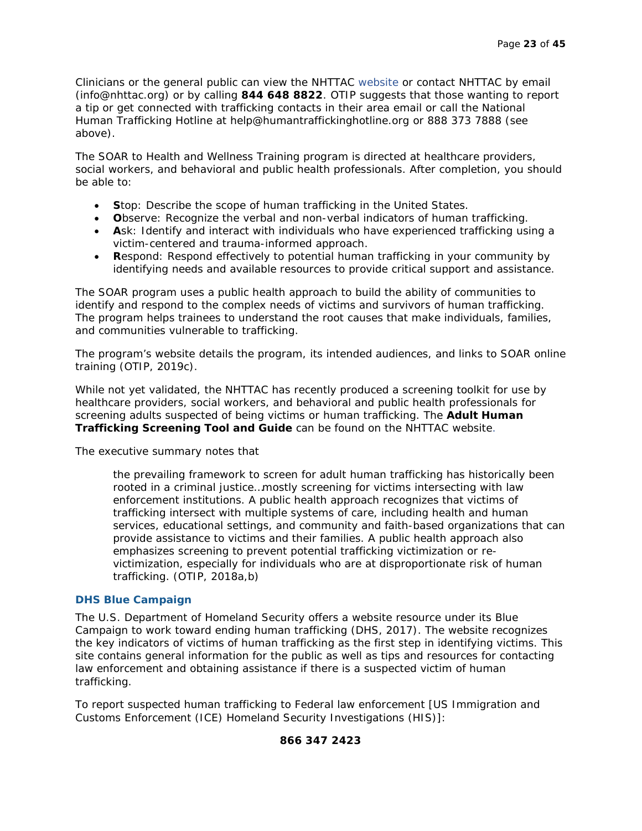Clinicians or the general public can view the NHTTAC website or contact NHTTAC by email (info@nhttac.org) or by calling **844 648 8822**. OTIP suggests that those wanting to report a tip or get connected with trafficking contacts in their area email or call the National Human Trafficking Hotline at help@humantraffickinghotline.org or 888 373 7888 (see above).

The SOAR to Health and Wellness Training program is directed at healthcare providers, social workers, and behavioral and public health professionals. After completion, you should be able to:

- **S**top: Describe the scope of human trafficking in the United States.
- **O**bserve: Recognize the verbal and non-verbal indicators of human trafficking.
- **A**sk: Identify and interact with individuals who have experienced trafficking using a victim-centered and trauma-informed approach.
- **R**espond: Respond effectively to potential human trafficking in your community by identifying needs and available resources to provide critical support and assistance.

The SOAR program uses a public health approach to build the ability of communities to identify and respond to the complex needs of victims and survivors of human trafficking. The program helps trainees to understand the root causes that make individuals, families, and communities vulnerable to trafficking.

The program's website details the program, its intended audiences, and links to SOAR online training (OTIP, 2019c).

While not yet validated, the NHTTAC has recently produced a screening toolkit for use by healthcare providers, social workers, and behavioral and public health professionals for screening adults suspected of being victims or human trafficking. The **Adult Human Trafficking Screening Tool and Guide** can be found on the NHTTAC website.

The executive summary notes that

the prevailing framework to screen for adult human trafficking has historically been rooted in a criminal justice…mostly screening for victims intersecting with law enforcement institutions. A public health approach recognizes that victims of trafficking intersect with multiple systems of care, including health and human services, educational settings, and community and faith-based organizations that can provide assistance to victims and their families. A public health approach also emphasizes screening to prevent potential trafficking victimization or revictimization, especially for individuals who are at disproportionate risk of human trafficking. (OTIP, 2018a,b)

#### **DHS Blue Campaign**

The U.S. Department of Homeland Security offers a website resource under its Blue Campaign to work toward ending human trafficking (DHS, 2017). The website recognizes the key indicators of victims of human trafficking as the first step in identifying victims. This site contains general information for the public as well as tips and resources for contacting law enforcement and obtaining assistance if there is a suspected victim of human trafficking.

To report suspected human trafficking to Federal law enforcement [US Immigration and Customs Enforcement (ICE) Homeland Security Investigations (HIS)]:

#### **866 347 2423**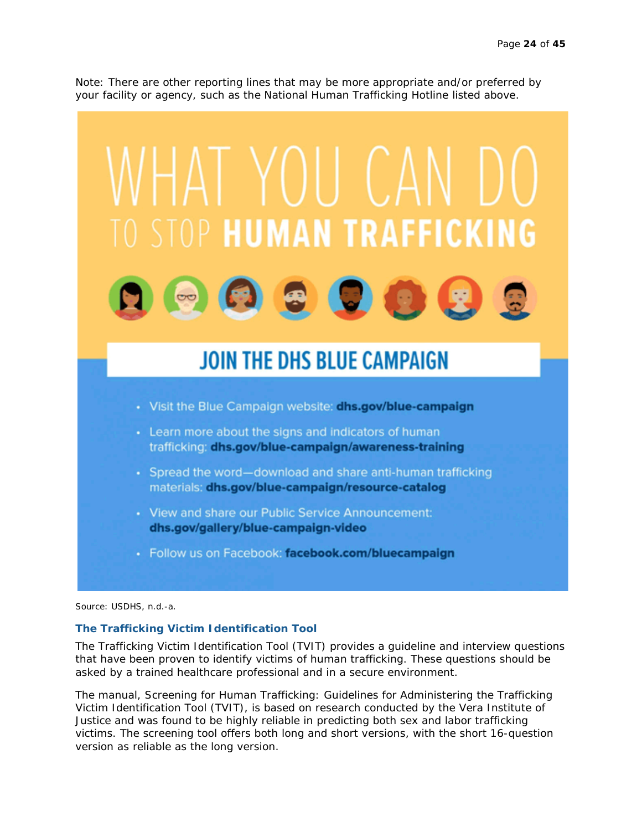Note: There are other reporting lines that may be more appropriate and/or preferred by your facility or agency, such as the National Human Trafficking Hotline listed above.



Source: USDHS, n.d.-a.

#### **The Trafficking Victim Identification Tool**

The Trafficking Victim Identification Tool (TVIT) provides a guideline and interview questions that have been proven to identify victims of human trafficking. These questions should be asked by a trained healthcare professional and in a secure environment.

The manual, *Screening for Human Trafficking: Guidelines for Administering the Trafficking Victim Identification Tool (TVIT)*, is based on research conducted by the Vera Institute of Justice and was found to be highly reliable in predicting both sex and labor trafficking victims. The screening tool offers both long and short versions, with the short 16-question version as reliable as the long version.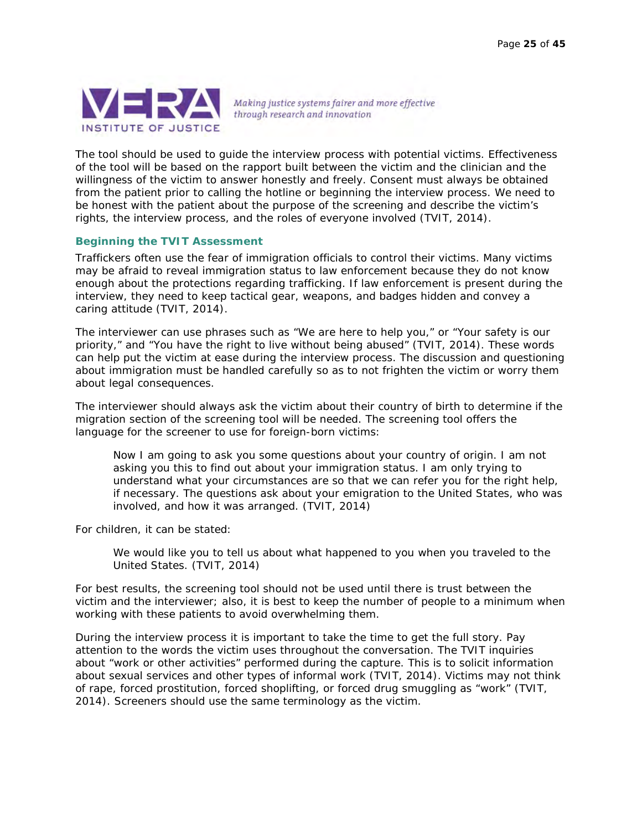

Making justice systems fairer and more effective through research and innovation

The tool should be used to guide the interview process with potential victims. Effectiveness of the tool will be based on the rapport built between the victim and the clinician and the willingness of the victim to answer honestly and freely. Consent must always be obtained from the patient prior to calling the hotline or beginning the interview process. We need to be honest with the patient about the purpose of the screening and describe the victim's rights, the interview process, and the roles of everyone involved (TVIT, 2014).

#### **Beginning the TVIT Assessment**

Traffickers often use the fear of immigration officials to control their victims. Many victims may be afraid to reveal immigration status to law enforcement because they do not know enough about the protections regarding trafficking. If law enforcement is present during the interview, they need to keep tactical gear, weapons, and badges hidden and convey a caring attitude (TVIT, 2014).

The interviewer can use phrases such as "We are here to help you," or "Your safety is our priority," and "You have the right to live without being abused" (TVIT, 2014). These words can help put the victim at ease during the interview process. The discussion and questioning about immigration must be handled carefully so as to not frighten the victim or worry them about legal consequences.

The interviewer should always ask the victim about their country of birth to determine if the migration section of the screening tool will be needed. The screening tool offers the language for the screener to use for foreign-born victims:

*Now I am going to ask you some questions about your country of origin. I am not asking you this to find out about your immigration status. I am only trying to understand what your circumstances are so that we can refer you for the right help, if necessary. The questions ask about your emigration to the United States, who was involved, and how it was arranged. (TVIT, 2014)* 

For children, it can be stated:

*We would like you to tell us about what happened to you when you traveled to the United States. (TVIT, 2014)*

For best results, the screening tool should not be used until there is trust between the victim and the interviewer; also, it is best to keep the number of people to a minimum when working with these patients to avoid overwhelming them.

During the interview process it is important to take the time to get the full story. Pay attention to the words the victim uses throughout the conversation. The TVIT inquiries about "work or other activities" performed during the capture. This is to solicit information about sexual services and other types of informal work (TVIT, 2014). Victims may not think of rape, forced prostitution, forced shoplifting, or forced drug smuggling as "work" (TVIT, 2014). Screeners should use the same terminology as the victim.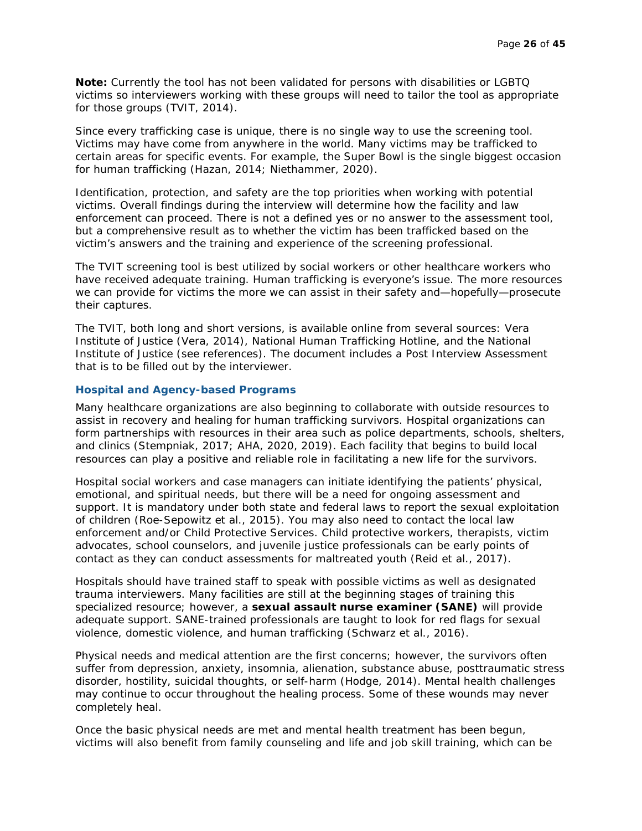**Note:** Currently the tool has not been validated for persons with disabilities or LGBTQ victims so interviewers working with these groups will need to tailor the tool as appropriate for those groups (TVIT, 2014).

Since every trafficking case is unique, there is no single way to use the screening tool. Victims may have come from anywhere in the world. Many victims may be trafficked to certain areas for specific events. For example, the Super Bowl is the single biggest occasion for human trafficking (Hazan, 2014; Niethammer, 2020).

Identification, protection, and safety are the top priorities when working with potential victims. Overall findings during the interview will determine how the facility and law enforcement can proceed. There is not a defined yes or no answer to the assessment tool, but a comprehensive result as to whether the victim has been trafficked based on the victim's answers and the training and experience of the screening professional.

The TVIT screening tool is best utilized by social workers or other healthcare workers who have received adequate training. Human trafficking is everyone's issue. The more resources we can provide for victims the more we can assist in their safety and—hopefully—prosecute their captures.

The TVIT, both long and short versions, is available online from several sources: Vera Institute of Justice (Vera, 2014), National Human Trafficking Hotline, and the National Institute of Justice (see references). The document includes a Post Interview Assessment that is to be filled out by the interviewer.

#### **Hospital and Agency-based Programs**

Many healthcare organizations are also beginning to collaborate with outside resources to assist in recovery and healing for human trafficking survivors. Hospital organizations can form partnerships with resources in their area such as police departments, schools, shelters, and clinics (Stempniak, 2017; AHA, 2020, 2019). Each facility that begins to build local resources can play a positive and reliable role in facilitating a new life for the survivors.

Hospital social workers and case managers can initiate identifying the patients' physical, emotional, and spiritual needs, but there will be a need for ongoing assessment and support. It is mandatory under both state and federal laws to report the sexual exploitation of children (Roe-Sepowitz et al., 2015). You may also need to contact the local law enforcement and/or Child Protective Services. Child protective workers, therapists, victim advocates, school counselors, and juvenile justice professionals can be early points of contact as they can conduct assessments for maltreated youth (Reid et al., 2017).

Hospitals should have trained staff to speak with possible victims as well as designated trauma interviewers. Many facilities are still at the beginning stages of training this specialized resource; however, a **sexual assault nurse examiner (SANE)** will provide adequate support. SANE-trained professionals are taught to look for red flags for sexual violence, domestic violence, and human trafficking (Schwarz et al., 2016).

Physical needs and medical attention are the first concerns; however, the survivors often suffer from depression, anxiety, insomnia, alienation, substance abuse, posttraumatic stress disorder, hostility, suicidal thoughts, or self-harm (Hodge, 2014). Mental health challenges may continue to occur throughout the healing process. Some of these wounds may never completely heal.

Once the basic physical needs are met and mental health treatment has been begun, victims will also benefit from family counseling and life and job skill training, which can be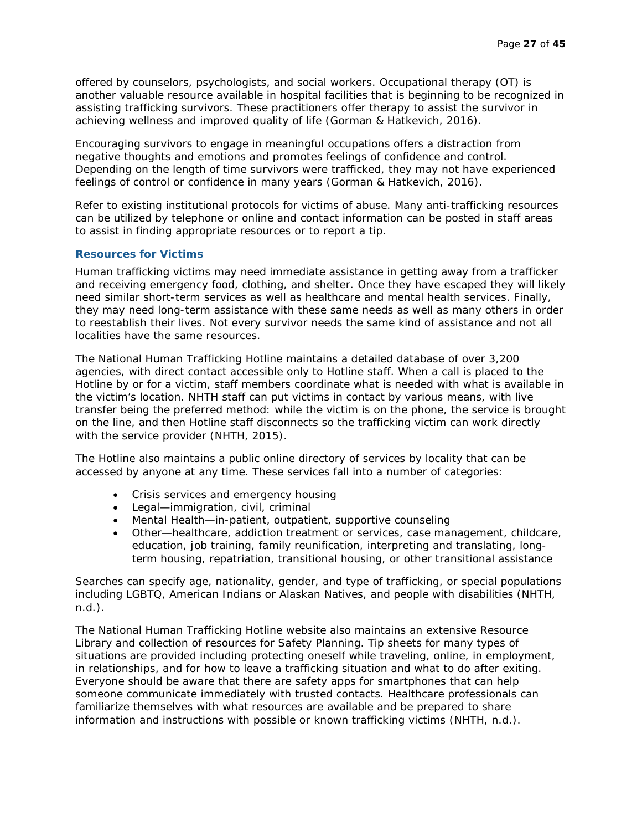offered by counselors, psychologists, and social workers. Occupational therapy (OT) is another valuable resource available in hospital facilities that is beginning to be recognized in assisting trafficking survivors. These practitioners offer therapy to assist the survivor in achieving wellness and improved quality of life (Gorman & Hatkevich, 2016).

Encouraging survivors to engage in meaningful occupations offers a distraction from negative thoughts and emotions and promotes feelings of confidence and control. Depending on the length of time survivors were trafficked, they may not have experienced feelings of control or confidence in many years (Gorman & Hatkevich, 2016).

Refer to existing institutional protocols for victims of abuse. Many anti-trafficking resources can be utilized by telephone or online and contact information can be posted in staff areas to assist in finding appropriate resources or to report a tip.

#### **Resources for Victims**

Human trafficking victims may need immediate assistance in getting away from a trafficker and receiving emergency food, clothing, and shelter. Once they have escaped they will likely need similar short-term services as well as healthcare and mental health services. Finally, they may need long-term assistance with these same needs as well as many others in order to reestablish their lives. Not every survivor needs the same kind of assistance and not all localities have the same resources.

The National Human Trafficking Hotline maintains a detailed database of over 3,200 agencies, with direct contact accessible only to Hotline staff. When a call is placed to the Hotline by or for a victim, staff members coordinate what is needed with what is available in the victim's location. NHTH staff can put victims in contact by various means, with live transfer being the preferred method: while the victim is on the phone, the service is brought on the line, and then Hotline staff disconnects so the trafficking victim can work directly with the service provider (NHTH, 2015).

The Hotline also maintains a public online directory of services by locality that can be accessed by anyone at any time. These services fall into a number of categories:

- Crisis services and emergency housing
- Legal—immigration, civil, criminal
- Mental Health—in-patient, outpatient, supportive counseling
- Other—healthcare, addiction treatment or services, case management, childcare, education, job training, family reunification, interpreting and translating, longterm housing, repatriation, transitional housing, or other transitional assistance

Searches can specify age, nationality, gender, and type of trafficking, or special populations including LGBTQ, American Indians or Alaskan Natives, and people with disabilities (NHTH, n.d.).

The National Human Trafficking Hotline website also maintains an extensive Resource Library and collection of resources for Safety Planning. Tip sheets for many types of situations are provided including protecting oneself while traveling, online, in employment, in relationships, and for how to leave a trafficking situation and what to do after exiting. Everyone should be aware that there are safety apps for smartphones that can help someone communicate immediately with trusted contacts. Healthcare professionals can familiarize themselves with what resources are available and be prepared to share information and instructions with possible or known trafficking victims (NHTH, n.d.).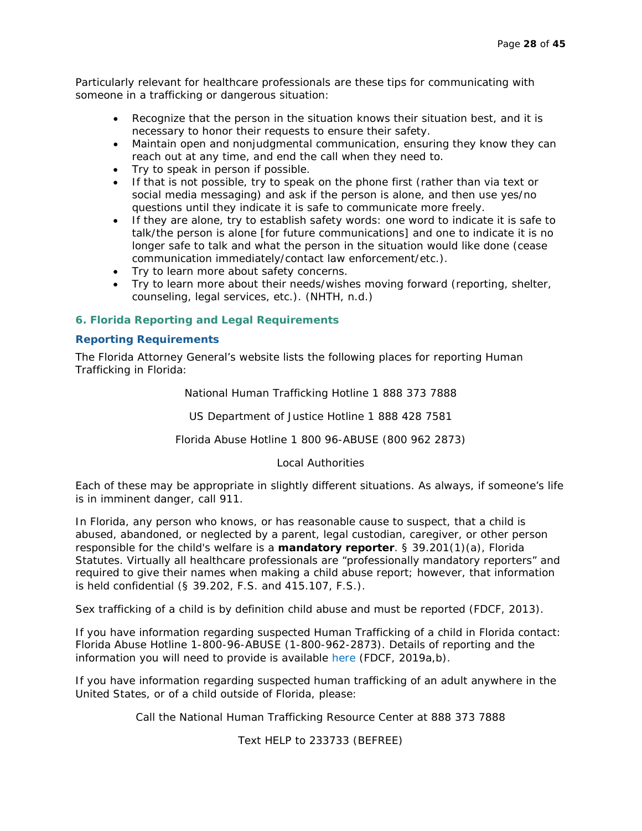Particularly relevant for healthcare professionals are these tips for communicating with someone in a trafficking or dangerous situation:

- Recognize that the person in the situation knows their situation best, and it is necessary to honor their requests to ensure their safety.
- Maintain open and nonjudgmental communication, ensuring they know they can reach out at any time, and end the call when they need to.
- Try to speak in person if possible.
- If that is not possible, try to speak on the phone first (rather than via text or social media messaging) and ask if the person is alone, and then use yes/no questions until they indicate it is safe to communicate more freely.
- If they are alone, try to establish safety words: one word to indicate it is safe to talk/the person is alone [for future communications] and one to indicate it is no longer safe to talk and what the person in the situation would like done (cease communication immediately/contact law enforcement/etc.).
- Try to learn more about safety concerns.
- Try to learn more about their needs/wishes moving forward (reporting, shelter, counseling, legal services, etc.). (NHTH, n.d.)

#### **6. Florida Reporting and Legal Requirements**

#### **Reporting Requirements**

The Florida Attorney General's website lists the following places for reporting Human Trafficking in Florida:

National Human Trafficking Hotline 1 888 373 7888

US Department of Justice Hotline 1 888 428 7581

Florida Abuse Hotline 1 800 96-ABUSE (800 962 2873)

#### Local Authorities

Each of these may be appropriate in slightly different situations. As always, if someone's life is in imminent danger, call 911.

In Florida, any person who knows, or has reasonable cause to suspect, that a child is abused, abandoned, or neglected by a parent, legal custodian, caregiver, or other person responsible for the child's welfare is a **mandatory reporter**. § 39.201(1)(a), Florida Statutes. Virtually all healthcare professionals are "professionally mandatory reporters" and required to give their names when making a child abuse report; however, that information is held confidential (§ 39.202, F.S. and 415.107, F.S.).

Sex trafficking of a child is by definition child abuse and must be reported (FDCF, 2013).

If you have information regarding suspected Human Trafficking of a child in Florida contact: Florida Abuse Hotline 1-800-96-ABUSE (1-800-962-2873). Details of reporting and the information you will need to provide is available here (FDCF, 2019a,b).

If you have information regarding suspected human trafficking of an adult anywhere in the United States, or of a child outside of Florida, please:

Call the National Human Trafficking Resource Center at 888 373 7888

Text HELP to 233733 (BEFREE)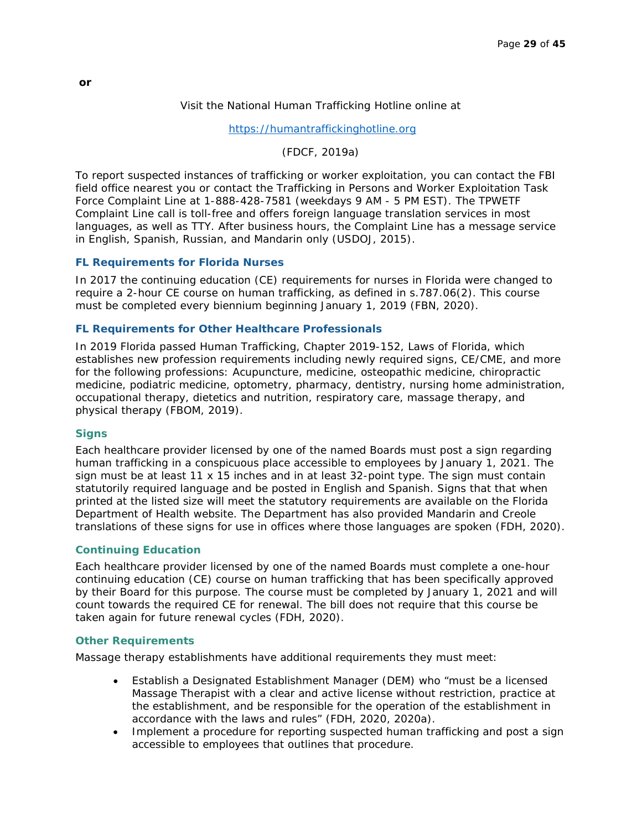#### Visit the National Human Trafficking Hotline online at

[https://humantraffickinghotline.org](https://humantraffickinghotline.org/)

(FDCF, 2019a)

To report suspected instances of trafficking or worker exploitation, you can contact the FBI field office nearest you or contact the Trafficking in Persons and Worker Exploitation Task Force Complaint Line at 1-888-428-7581 (weekdays 9 AM - 5 PM EST). The TPWETF Complaint Line call is toll-free and offers foreign language translation services in most languages, as well as TTY. After business hours, the Complaint Line has a message service in English, Spanish, Russian, and Mandarin only (USDOJ, 2015).

#### **FL Requirements for Florida Nurses**

In 2017 the continuing education (CE) requirements for nurses in Florida were changed to require a 2-hour CE course on human trafficking, as defined in s.787.06(2). This course must be completed every biennium beginning January 1, 2019 (FBN, 2020).

#### **FL Requirements for Other Healthcare Professionals**

In 2019 Florida passed Human Trafficking, Chapter 2019-152, Laws of Florida, which establishes new profession requirements including newly required signs, CE/CME, and more for the following professions: Acupuncture, medicine, osteopathic medicine, chiropractic medicine, podiatric medicine, optometry, pharmacy, dentistry, nursing home administration, occupational therapy, dietetics and nutrition, respiratory care, massage therapy, and physical therapy (FBOM, 2019).

#### **Signs**

Each healthcare provider licensed by one of the named Boards must post a sign regarding human trafficking in a conspicuous place accessible to employees by January 1, 2021. The sign must be at least 11 x 15 inches and in at least 32-point type. The sign must contain statutorily required language and be posted in English and Spanish. Signs that that when printed at the listed size will meet the statutory requirements are available on the Florida Department of Health website. The Department has also provided Mandarin and Creole translations of these signs for use in offices where those languages are spoken (FDH, 2020).

#### **Continuing Education**

Each healthcare provider licensed by one of the named Boards must complete a one-hour continuing education (CE) course on human trafficking that has been specifically approved by their Board for this purpose. The course must be completed by January 1, 2021 and will count towards the required CE for renewal. The bill does not require that this course be taken again for future renewal cycles (FDH, 2020).

#### **Other Requirements**

Massage therapy establishments have additional requirements they must meet:

- Establish a Designated Establishment Manager (DEM) who "must be a licensed Massage Therapist with a clear and active license without restriction, practice at the establishment, and be responsible for the operation of the establishment in accordance with the laws and rules" (FDH, 2020, 2020a).
- Implement a procedure for reporting suspected human trafficking and post a sign accessible to employees that outlines that procedure.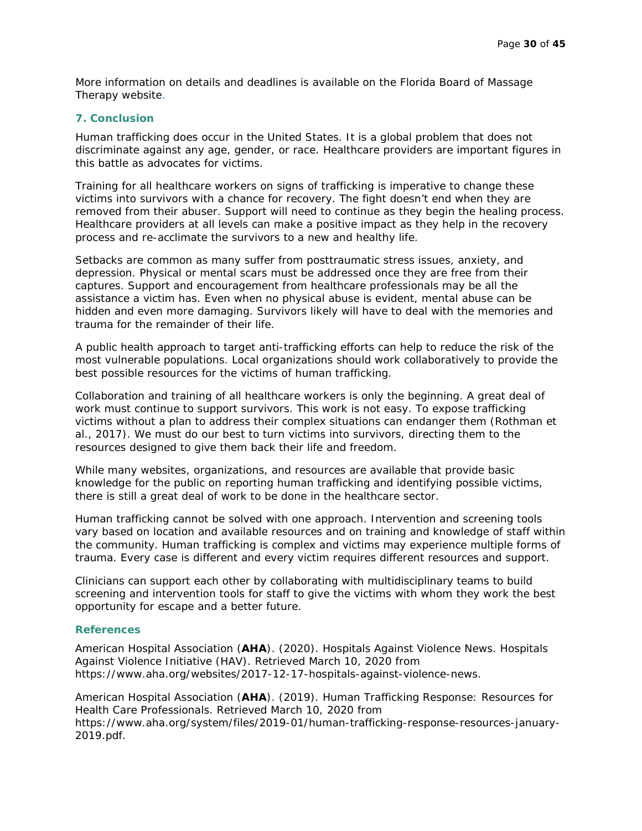More information on details and deadlines is available on the Florida Board of Massage Therapy website.

#### **7. Conclusion**

Human trafficking *does* occur in the United States. It is a global problem that does not discriminate against any age, gender, or race. Healthcare providers are important figures in this battle as advocates for victims.

Training for all healthcare workers on signs of trafficking is imperative to change these victims into survivors with a chance for recovery. The fight doesn't end when they are removed from their abuser. Support will need to continue as they begin the healing process. Healthcare providers at all levels can make a positive impact as they help in the recovery process and re-acclimate the survivors to a new and healthy life.

Setbacks are common as many suffer from posttraumatic stress issues, anxiety, and depression. Physical or mental scars must be addressed once they are free from their captures. Support and encouragement from healthcare professionals may be all the assistance a victim has. Even when no physical abuse is evident, mental abuse can be hidden and even more damaging. Survivors likely will have to deal with the memories and trauma for the remainder of their life.

A public health approach to target anti-trafficking efforts can help to reduce the risk of the most vulnerable populations. Local organizations should work collaboratively to provide the best possible resources for the victims of human trafficking.

Collaboration and training of all healthcare workers is only the beginning. A great deal of work must continue to support survivors. This work is not easy. To expose trafficking victims without a plan to address their complex situations can endanger them (Rothman et al., 2017). We must do our best to turn victims into survivors, directing them to the resources designed to give them back their life and freedom.

While many websites, organizations, and resources are available that provide basic knowledge for the public on reporting human trafficking and identifying possible victims, there is still a great deal of work to be done in the healthcare sector.

Human trafficking cannot be solved with one approach. Intervention and screening tools vary based on location and available resources and on training and knowledge of staff within the community. Human trafficking is complex and victims may experience multiple forms of trauma. Every case is different and every victim requires different resources and support.

Clinicians can support each other by collaborating with multidisciplinary teams to build screening and intervention tools for staff to give the victims with whom they work the best opportunity for escape and a better future.

#### **References**

American Hospital Association (**AHA**). (2020). Hospitals Against Violence News. Hospitals Against Violence Initiative (HAV). Retrieved March 10, 2020 from https://www.aha.org/websites/2017-12-17-hospitals-against-violence-news.

American Hospital Association (**AHA**). (2019). Human Trafficking Response: Resources for Health Care Professionals. Retrieved March 10, 2020 from https://www.aha.org/system/files/2019-01/human-trafficking-response-resources-january-2019.pdf.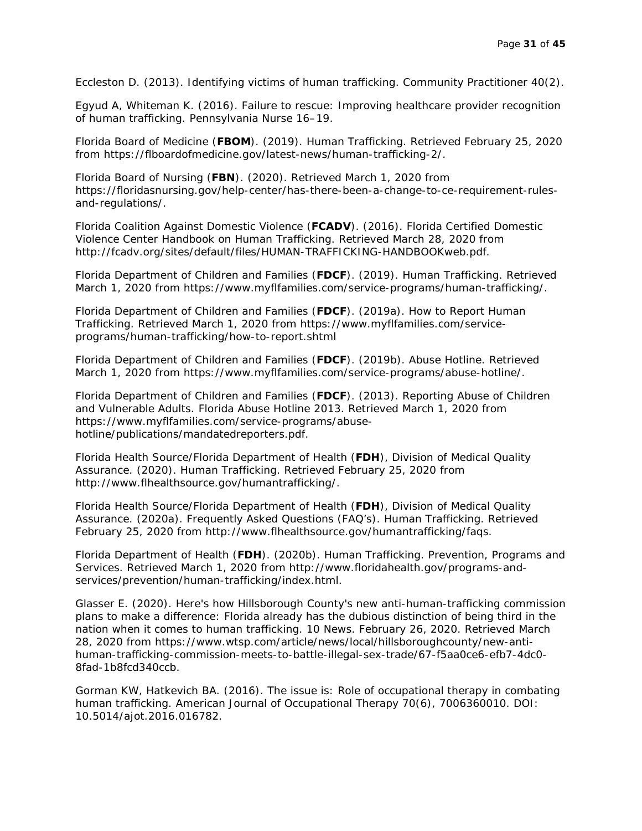Eccleston D. (2013). Identifying victims of human trafficking. *Community Practitioner* 40(2).

Egyud A, Whiteman K. (2016). Failure to rescue: Improving healthcare provider recognition of human trafficking. *Pennsylvania Nurse* 16–19.

Florida Board of Medicine (**FBOM**). (2019). Human Trafficking. Retrieved February 25, 2020 from https://flboardofmedicine.gov/latest-news/human-trafficking-2/.

Florida Board of Nursing (**FBN**). (2020). Retrieved March 1, 2020 from https://floridasnursing.gov/help-center/has-there-been-a-change-to-ce-requirement-rulesand-regulations/.

Florida Coalition Against Domestic Violence (**FCADV**). (2016). Florida Certified Domestic Violence Center Handbook on Human Trafficking. Retrieved March 28, 2020 from http://fcadv.org/sites/default/files/HUMAN-TRAFFICKING-HANDBOOKweb.pdf.

Florida Department of Children and Families (**FDCF**). (2019). Human Trafficking. Retrieved March 1, 2020 from https://www.myflfamilies.com/service-programs/human-trafficking/.

Florida Department of Children and Families (**FDCF**). (2019a). How to Report Human Trafficking. Retrieved March 1, 2020 from https://www.myflfamilies.com/serviceprograms/human-trafficking/how-to-report.shtml

Florida Department of Children and Families (**FDCF**). (2019b). Abuse Hotline. Retrieved March 1, 2020 from https://www.myflfamilies.com/service-programs/abuse-hotline/.

Florida Department of Children and Families (**FDCF**). (2013). Reporting Abuse of Children and Vulnerable Adults. Florida Abuse Hotline 2013. Retrieved March 1, 2020 from https://www.myflfamilies.com/service-programs/abusehotline/publications/mandatedreporters.pdf.

Florida Health Source/Florida Department of Health (**FDH**), Division of Medical Quality Assurance. (2020). Human Trafficking. Retrieved February 25, 2020 from http://www.flhealthsource.gov/humantrafficking/.

Florida Health Source/Florida Department of Health (**FDH**), Division of Medical Quality Assurance. (2020a). Frequently Asked Questions (FAQ's). Human Trafficking. Retrieved February 25, 2020 from http://www.flhealthsource.gov/humantrafficking/faqs.

Florida Department of Health (**FDH**). (2020b). Human Trafficking. Prevention, Programs and Services. Retrieved March 1, 2020 from http://www.floridahealth.gov/programs-andservices/prevention/human-trafficking/index.html.

Glasser E. (2020). Here's how Hillsborough County's new anti-human-trafficking commission plans to make a difference: Florida already has the dubious distinction of being third in the nation when it comes to human trafficking. 10 News. February 26, 2020. Retrieved March 28, 2020 from https://www.wtsp.com/article/news/local/hillsboroughcounty/new-antihuman-trafficking-commission-meets-to-battle-illegal-sex-trade/67-f5aa0ce6-efb7-4dc0- 8fad-1b8fcd340ccb.

Gorman KW, Hatkevich BA. (2016). The issue is: Role of occupational therapy in combating human trafficking. *American Journal of Occupational Therapy* 70(6), 7006360010. DOI: 10.5014/ajot.2016.016782.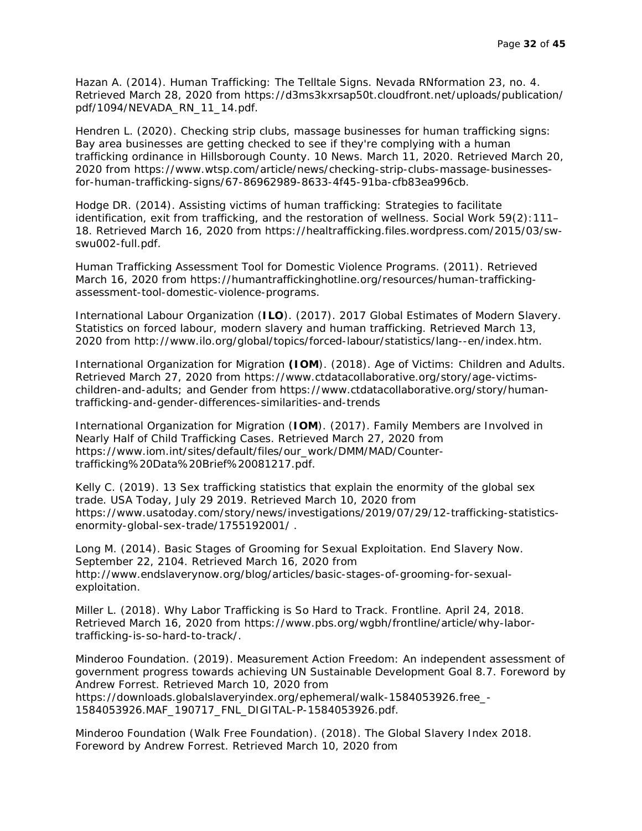Hazan A. (2014). Human Trafficking: The Telltale Signs. *Nevada RNformation* 23, no. 4. Retrieved March 28, 2020 from https://d3ms3kxrsap50t.cloudfront.net/uploads/publication/ pdf/1094/NEVADA\_RN\_11\_14.pdf.

Hendren L. (2020). Checking strip clubs, massage businesses for human trafficking signs: Bay area businesses are getting checked to see if they're complying with a human trafficking ordinance in Hillsborough County. 10 News. March 11, 2020. Retrieved March 20, 2020 from https://www.wtsp.com/article/news/checking-strip-clubs-massage-businessesfor-human-trafficking-signs/67-86962989-8633-4f45-91ba-cfb83ea996cb.

Hodge DR. (2014). Assisting victims of human trafficking: Strategies to facilitate identification, exit from trafficking, and the restoration of wellness. *Social Work* 59(2):111– 18. Retrieved March 16, 2020 from https://healtrafficking.files.wordpress.com/2015/03/swswu002-full.pdf.

Human Trafficking Assessment Tool for Domestic Violence Programs. (2011). Retrieved March 16, 2020 from [https://humantraffickinghotline.org/resources/human-trafficking](https://humantraffickinghotline.org/resources/human-trafficking-assessment-tool-domestic-violence-programs)[assessment-tool-domestic-violence-programs.](https://humantraffickinghotline.org/resources/human-trafficking-assessment-tool-domestic-violence-programs)

International Labour Organization (**ILO**). (2017). 2017 Global Estimates of Modern Slavery. Statistics on forced labour, modern slavery and human trafficking. Retrieved March 13, 2020 from http://www.ilo.org/global/topics/forced-labour/statistics/lang--en/index.htm.

International Organization for Migration **(IOM**). (2018). Age of Victims: Children and Adults. Retrieved March 27, 2020 from https://www.ctdatacollaborative.org/story/age-victimschildren-and-adults; and Gender from https://www.ctdatacollaborative.org/story/humantrafficking-and-gender-differences-similarities-and-trends

International Organization for Migration (**IOM**). (2017). Family Members are Involved in Nearly Half of Child Trafficking Cases. Retrieved March 27, 2020 from https://www.iom.int/sites/default/files/our\_work/DMM/MAD/Countertrafficking%20Data%20Brief%20081217.pdf.

Kelly C. (2019). 13 Sex trafficking statistics that explain the enormity of the global sex trade. *USA Today*, July 29 2019. Retrieved March 10, 2020 from https://www.usatoday.com/story/news/investigations/2019/07/29/12-trafficking-statisticsenormity-global-sex-trade/1755192001/ .

Long M. (2014). Basic Stages of Grooming for Sexual Exploitation. End Slavery Now. September 22, 2104. Retrieved March 16, 2020 from http://www.endslaverynow.org/blog/articles/basic-stages-of-grooming-for-sexualexploitation.

Miller L. (2018). Why Labor Trafficking is So Hard to Track. Frontline. April 24, 2018. Retrieved March 16, 2020 from https://www.pbs.org/wgbh/frontline/article/why-labortrafficking-is-so-hard-to-track/.

Minderoo Foundation. (2019). Measurement Action Freedom: An independent assessment of government progress towards achieving UN Sustainable Development Goal 8.7. Foreword by Andrew Forrest. Retrieved March 10, 2020 from https://downloads.globalslaveryindex.org/ephemeral/walk-1584053926.free\_- 1584053926.MAF\_190717\_FNL\_DIGITAL-P-1584053926.pdf.

Minderoo Foundation (Walk Free Foundation). (2018). The Global Slavery Index 2018. Foreword by Andrew Forrest. Retrieved March 10, 2020 from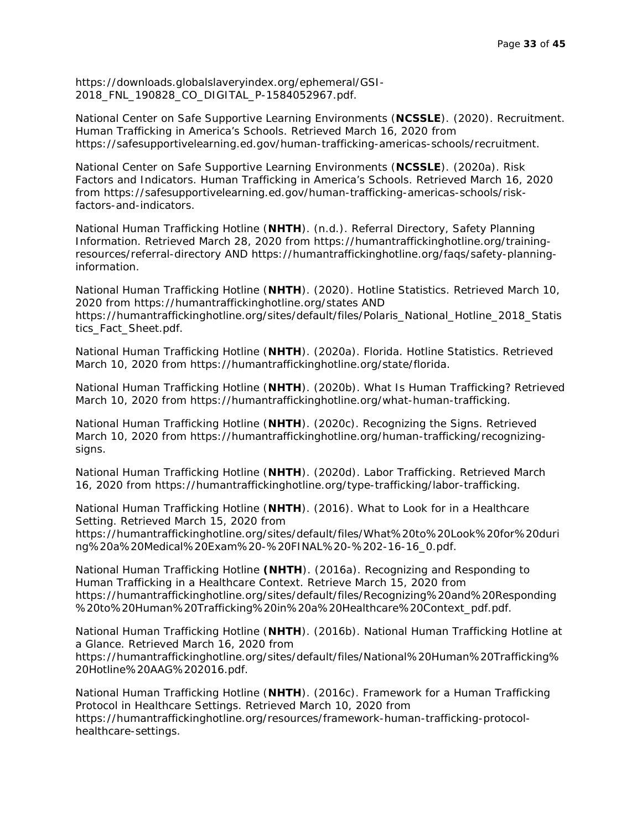https://downloads.globalslaveryindex.org/ephemeral/GSI-2018\_FNL\_190828\_CO\_DIGITAL\_P-1584052967.pdf.

National Center on Safe Supportive Learning Environments (**NCSSLE**). (2020). Recruitment. Human Trafficking in America's Schools. Retrieved March 16, 2020 from https://safesupportivelearning.ed.gov/human-trafficking-americas-schools/recruitment.

National Center on Safe Supportive Learning Environments (**NCSSLE**). (2020a). Risk Factors and Indicators. Human Trafficking in America's Schools. Retrieved March 16, 2020 from https://safesupportivelearning.ed.gov/human-trafficking-americas-schools/riskfactors-and-indicators.

National Human Trafficking Hotline (**NHTH**). (n.d.). Referral Directory, Safety Planning Information. Retrieved March 28, 2020 from https://humantraffickinghotline.org/trainingresources/referral-directory AND https://humantraffickinghotline.org/faqs/safety-planninginformation.

National Human Trafficking Hotline (**NHTH**). (2020). Hotline Statistics. Retrieved March 10, 2020 from https://humantraffickinghotline.org/states AND https://humantraffickinghotline.org/sites/default/files/Polaris\_National\_Hotline\_2018\_Statis tics\_Fact\_Sheet.pdf.

National Human Trafficking Hotline (**NHTH**). (2020a). Florida. Hotline Statistics. Retrieved March 10, 2020 from https://humantraffickinghotline.org/state/florida.

National Human Trafficking Hotline (**NHTH**). (2020b). What Is Human Trafficking? Retrieved March 10, 2020 from https://humantraffickinghotline.org/what-human-trafficking.

National Human Trafficking Hotline (**NHTH**). (2020c). Recognizing the Signs. Retrieved March 10, 2020 from https://humantraffickinghotline.org/human-trafficking/recognizingsigns.

National Human Trafficking Hotline (**NHTH**). (2020d). Labor Trafficking. Retrieved March 16, 2020 from https://humantraffickinghotline.org/type-trafficking/labor-trafficking.

National Human Trafficking Hotline (**NHTH**). (2016). What to Look for in a Healthcare Setting. Retrieved March 15, 2020 from

https://humantraffickinghotline.org/sites/default/files/What%20to%20Look%20for%20duri ng%20a%20Medical%20Exam%20-%20FINAL%20-%202-16-16\_0.pdf.

National Human Trafficking Hotline **(NHTH**). (2016a). Recognizing and Responding to Human Trafficking in a Healthcare Context. Retrieve March 15, 2020 from https://humantraffickinghotline.org/sites/default/files/Recognizing%20and%20Responding %20to%20Human%20Trafficking%20in%20a%20Healthcare%20Context\_pdf.pdf.

National Human Trafficking Hotline (**NHTH**). (2016b). National Human Trafficking Hotline at a Glance. Retrieved March 16, 2020 from

https://humantraffickinghotline.org/sites/default/files/National%20Human%20Trafficking% 20Hotline%20AAG%202016.pdf.

National Human Trafficking Hotline (**NHTH**). (2016c). Framework for a Human Trafficking Protocol in Healthcare Settings. Retrieved March 10, 2020 from https://humantraffickinghotline.org/resources/framework-human-trafficking-protocolhealthcare-settings.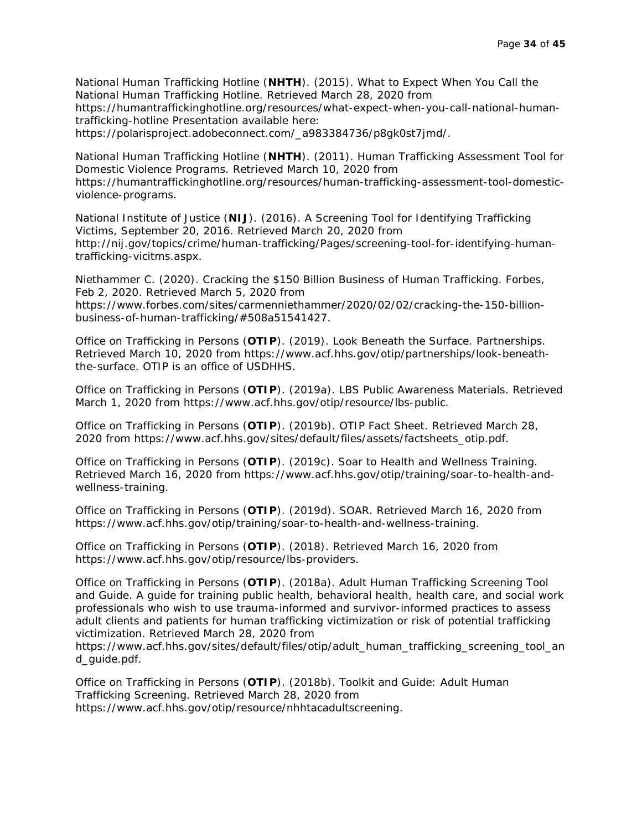National Human Trafficking Hotline (**NHTH**). (2015). What to Expect When You Call the National Human Trafficking Hotline. Retrieved March 28, 2020 from https://humantraffickinghotline.org/resources/what-expect-when-you-call-national-humantrafficking-hotline Presentation available here: https://polarisproject.adobeconnect.com/\_a983384736/p8gk0st7jmd/.

National Human Trafficking Hotline (**NHTH**). (2011). Human Trafficking Assessment Tool for Domestic Violence Programs. Retrieved March 10, 2020 from https://humantraffickinghotline.org/resources/human-trafficking-assessment-tool-domesticviolence-programs.

National Institute of Justice (**NIJ**). (2016). A Screening Tool for Identifying Trafficking Victims, September 20, 2016. Retrieved March 20, 2020 from http://nij.gov/topics/crime/human-trafficking/Pages/screening-tool-for-identifying-humantrafficking-vicitms.aspx.

Niethammer C. (2020). Cracking the \$150 Billion Business of Human Trafficking. Forbes, Feb 2, 2020. Retrieved March 5, 2020 from https://www.forbes.com/sites/carmenniethammer/2020/02/02/cracking-the-150-billionbusiness-of-human-trafficking/#508a51541427.

Office on Trafficking in Persons (**OTIP**). (2019). Look Beneath the Surface. Partnerships. Retrieved March 10, 2020 from https://www.acf.hhs.gov/otip/partnerships/look-beneaththe-surface. OTIP is an office of USDHHS.

Office on Trafficking in Persons (**OTIP**). (2019a). LBS Public Awareness Materials. Retrieved March 1, 2020 from https://www.acf.hhs.gov/otip/resource/lbs-public.

Office on Trafficking in Persons (**OTIP**). (2019b). OTIP Fact Sheet. Retrieved March 28, 2020 from https://www.acf.hhs.gov/sites/default/files/assets/factsheets\_otip.pdf.

Office on Trafficking in Persons (**OTIP**). (2019c). Soar to Health and Wellness Training. Retrieved March 16, 2020 from https://www.acf.hhs.gov/otip/training/soar-to-health-andwellness-training.

Office on Trafficking in Persons (**OTIP**). (2019d). SOAR. Retrieved March 16, 2020 from https://www.acf.hhs.gov/otip/training/soar-to-health-and-wellness-training.

Office on Trafficking in Persons (**OTIP**). (2018). Retrieved March 16, 2020 from https://www.acf.hhs.gov/otip/resource/lbs-providers.

Office on Trafficking in Persons (**OTIP**). (2018a). Adult Human Trafficking Screening Tool and Guide. A guide for training public health, behavioral health, health care, and social work professionals who wish to use trauma-informed and survivor-informed practices to assess adult clients and patients for human trafficking victimization or risk of potential trafficking victimization. Retrieved March 28, 2020 from

https://www.acf.hhs.gov/sites/default/files/otip/adult\_human\_trafficking\_screening\_tool\_an d\_guide.pdf.

Office on Trafficking in Persons (**OTIP**). (2018b). Toolkit and Guide: Adult Human Trafficking Screening. Retrieved March 28, 2020 from https://www.acf.hhs.gov/otip/resource/nhhtacadultscreening.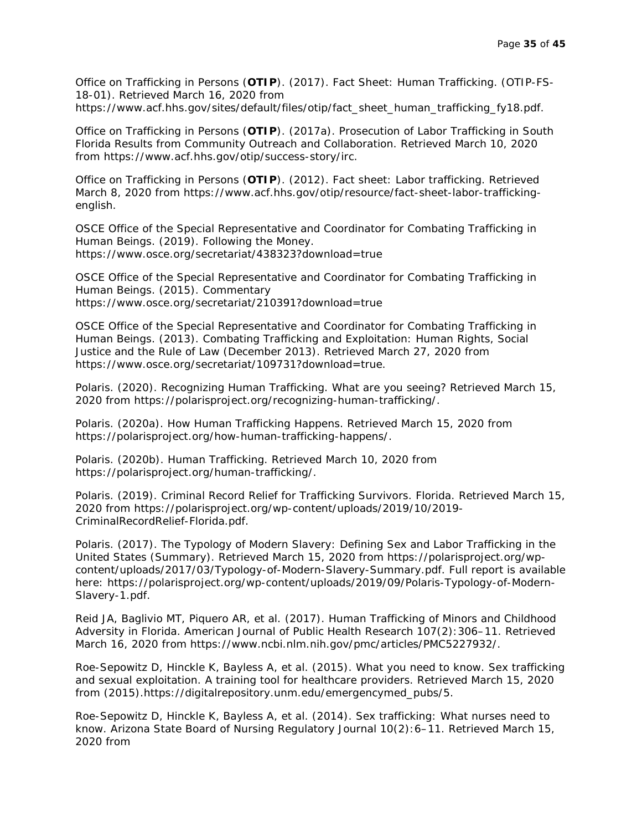Office on Trafficking in Persons (**OTIP**). (2017). Fact Sheet: Human Trafficking. (OTIP-FS-18-01). Retrieved March 16, 2020 from https://www.acf.hhs.gov/sites/default/files/otip/fact\_sheet\_human\_trafficking\_fy18.pdf.

Office on Trafficking in Persons (**OTIP**). (2017a). Prosecution of Labor Trafficking in South Florida Results from Community Outreach and Collaboration. Retrieved March 10, 2020 from https://www.acf.hhs.gov/otip/success-story/irc.

Office on Trafficking in Persons (**OTIP**). (2012). Fact sheet: Labor trafficking. Retrieved March 8, 2020 from https://www.acf.hhs.gov/otip/resource/fact-sheet-labor-traffickingenglish.

OSCE Office of the Special Representative and Coordinator for Combating Trafficking in Human Beings. (2019). Following the Money. https://www.osce.org/secretariat/438323?download=true

OSCE Office of the Special Representative and Coordinator for Combating Trafficking in Human Beings. (2015). Commentary https://www.osce.org/secretariat/210391?download=true

OSCE Office of the Special Representative and Coordinator for Combating Trafficking in Human Beings. (2013). Combating Trafficking and Exploitation: Human Rights, Social Justice and the Rule of Law (December 2013). Retrieved March 27, 2020 from https://www.osce.org/secretariat/109731?download=true.

Polaris. (2020). Recognizing Human Trafficking. What are you seeing? Retrieved March 15, 2020 from https://polarisproject.org/recognizing-human-trafficking/.

Polaris. (2020a). How Human Trafficking Happens. Retrieved March 15, 2020 from https://polarisproject.org/how-human-trafficking-happens/.

Polaris. (2020b). Human Trafficking. Retrieved March 10, 2020 from https://polarisproject.org/human-trafficking/.

Polaris. (2019). Criminal Record Relief for Trafficking Survivors. Florida. Retrieved March 15, 2020 from https://polarisproject.org/wp-content/uploads/2019/10/2019- CriminalRecordRelief-Florida.pdf.

Polaris. (2017). The Typology of Modern Slavery: Defining Sex and Labor Trafficking in the United States (Summary). Retrieved March 15, 2020 from https://polarisproject.org/wpcontent/uploads/2017/03/Typology-of-Modern-Slavery-Summary.pdf. Full report is available here: https://polarisproject.org/wp-content/uploads/2019/09/Polaris-Typology-of-Modern-Slavery-1.pdf.

Reid JA, Baglivio MT, Piquero AR, et al. (2017). Human Trafficking of Minors and Childhood Adversity in Florida. *American Journal of Public Health Research* 107(2):306–11. Retrieved March 16, 2020 from https://www.ncbi.nlm.nih.gov/pmc/articles/PMC5227932/.

Roe-Sepowitz D, Hinckle K, Bayless A, et al. (2015). What you need to know. Sex trafficking and sexual exploitation. A training tool for healthcare providers. Retrieved March 15, 2020 from (2015).https://digitalrepository.unm.edu/emergencymed\_pubs/5.

Roe-Sepowitz D, Hinckle K, Bayless A, et al. (2014). Sex trafficking: What nurses need to know. *Arizona State Board of Nursing Regulatory Journal* 10(2):6–11. Retrieved March 15, 2020 from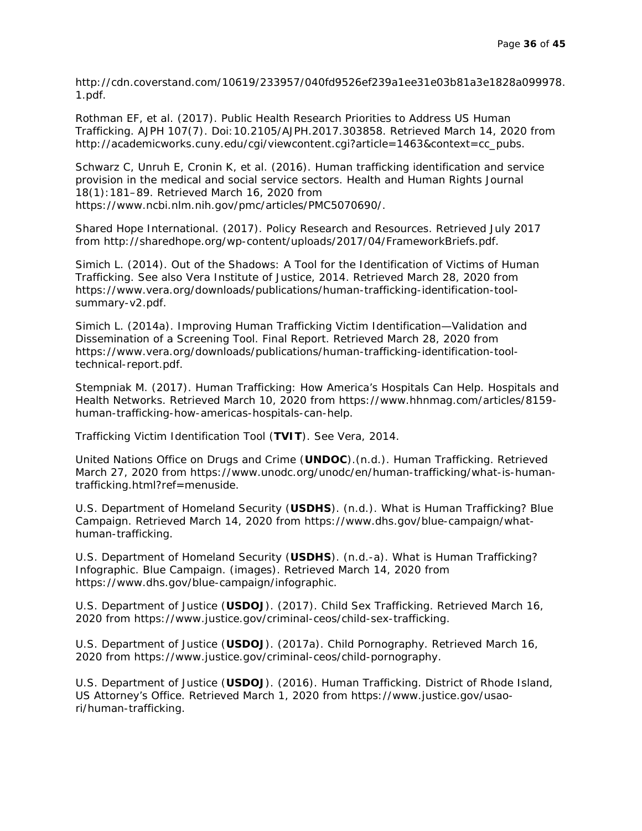http://cdn.coverstand.com/10619/233957/040fd9526ef239a1ee31e03b81a3e1828a099978. 1.pdf.

Rothman EF, et al. (2017). Public Health Research Priorities to Address US Human Trafficking. *AJPH* 107(7). Doi:10.2105/AJPH.2017.303858. Retrieved March 14, 2020 from http://academicworks.cuny.edu/cgi/viewcontent.cgi?article=1463&context=cc\_pubs.

Schwarz C, Unruh E, Cronin K, et al. (2016). Human trafficking identification and service provision in the medical and social service sectors. *Health and Human Rights Journal*  18(1):181–89. Retrieved March 16, 2020 from https://www.ncbi.nlm.nih.gov/pmc/articles/PMC5070690/.

Shared Hope International. (2017). Policy Research and Resources. Retrieved July 2017 from [http://sharedhope.org/wp-content/uploads/2017/04/FrameworkBriefs.pdf.](http://sharedhope.org/wp-content/uploads/2017/04/FrameworkBriefs.pdf)

Simich L. (2014). Out of the Shadows: A Tool for the Identification of Victims of Human Trafficking. See also Vera Institute of Justice, 2014. Retrieved March 28, 2020 from https://www.vera.org/downloads/publications/human-trafficking-identification-toolsummary-v2.pdf.

Simich L. (2014a). Improving Human Trafficking Victim Identification—Validation and Dissemination of a Screening Tool. Final Report. Retrieved March 28, 2020 from https://www.vera.org/downloads/publications/human-trafficking-identification-tooltechnical-report.pdf.

Stempniak M. (2017). Human Trafficking: How America's Hospitals Can Help. *Hospitals and Health Networks.* Retrieved March 10, 2020 from https://www.hhnmag.com/articles/8159 human-trafficking-how-americas-hospitals-can-help.

Trafficking Victim Identification Tool (**TVIT**). See Vera, 2014.

United Nations Office on Drugs and Crime (**UNDOC**).(n.d.). Human Trafficking. Retrieved March 27, 2020 from https://www.unodc.org/unodc/en/human-trafficking/what-is-humantrafficking.html?ref=menuside.

U.S. Department of Homeland Security (**USDHS**). (n.d.). What is Human Trafficking? Blue Campaign. Retrieved March 14, 2020 from https://www.dhs.gov/blue-campaign/whathuman-trafficking.

U.S. Department of Homeland Security (**USDHS**). (n.d.-a). What is Human Trafficking? Infographic. Blue Campaign. (images). Retrieved March 14, 2020 from [https://www.dhs.gov/blue-campaign/infographic.](https://www.dhs.gov/blue-campaign/infographic)

U.S. Department of Justice (**USDOJ**). (2017). Child Sex Trafficking. Retrieved March 16, 2020 from https://www.justice.gov/criminal-ceos/child-sex-trafficking.

U.S. Department of Justice (**USDOJ**). (2017a). Child Pornography. Retrieved March 16, 2020 from https://www.justice.gov/criminal-ceos/child-pornography.

U.S. Department of Justice (**USDOJ**). (2016). Human Trafficking. District of Rhode Island, US Attorney's Office. Retrieved March 1, 2020 from https://www.justice.gov/usaori/human-trafficking.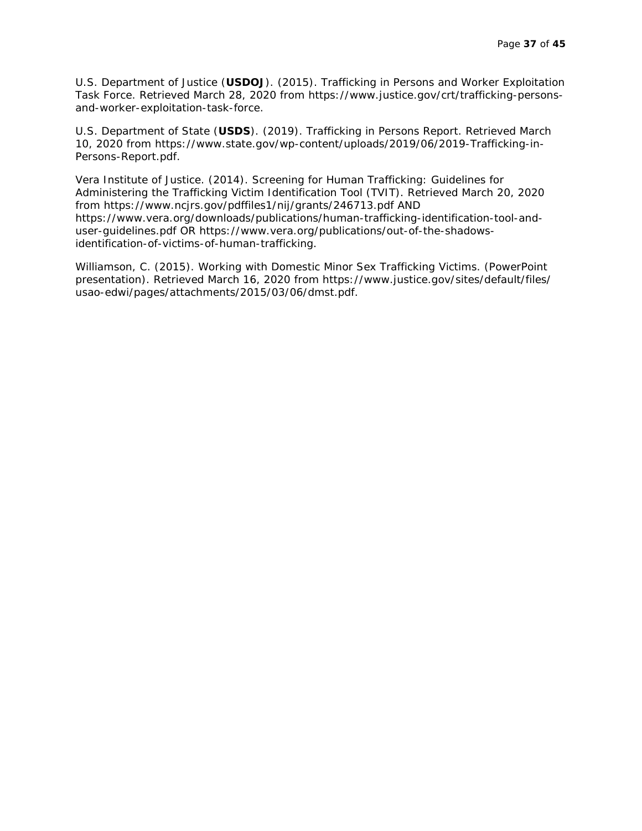U.S. Department of Justice (**USDOJ**). (2015). Trafficking in Persons and Worker Exploitation Task Force. Retrieved March 28, 2020 from https://www.justice.gov/crt/trafficking-personsand-worker-exploitation-task-force.

U.S. Department of State (**USDS**). (2019). Trafficking in Persons Report. Retrieved March 10, 2020 from https://www.state.gov/wp-content/uploads/2019/06/2019-Trafficking-in-Persons-Report.pdf.

Vera Institute of Justice. (2014). Screening for Human Trafficking: Guidelines for Administering the Trafficking Victim Identification Tool (TVIT). Retrieved March 20, 2020 from https://www.ncjrs.gov/pdffiles1/nij/grants/246713.pdf AND https://www.vera.org/downloads/publications/human-trafficking-identification-tool-anduser-guidelines.pdf OR https://www.vera.org/publications/out-of-the-shadowsidentification-of-victims-of-human-trafficking.

Williamson, C. (2015). Working with Domestic Minor Sex Trafficking Victims. (PowerPoint presentation). Retrieved March 16, 2020 from https://www.justice.gov/sites/default/files/ usao-edwi/pages/attachments/2015/03/06/dmst.pdf.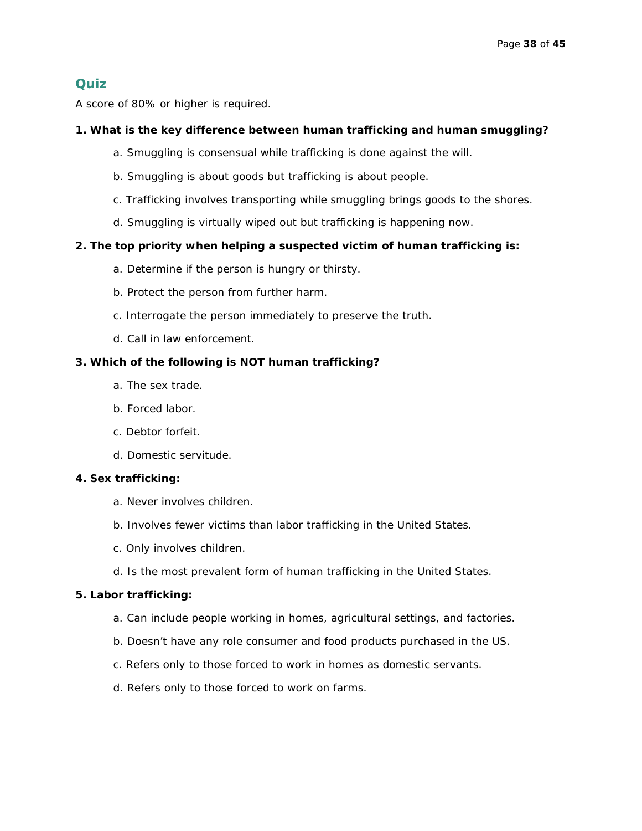#### **Quiz**

A score of 80% or higher is required.

#### **1. What is the key difference between human trafficking and human smuggling?**

- a. Smuggling is consensual while trafficking is done against the will.
- b. Smuggling is about goods but trafficking is about people.
- c. Trafficking involves transporting while smuggling brings goods to the shores.
- d. Smuggling is virtually wiped out but trafficking is happening now.

#### **2. The top priority when helping a suspected victim of human trafficking is:**

- a. Determine if the person is hungry or thirsty.
- b. Protect the person from further harm.
- c. Interrogate the person immediately to preserve the truth.
- d. Call in law enforcement.

#### **3. Which of the following is NOT human trafficking?**

- a. The sex trade.
- b. Forced labor.
- c. Debtor forfeit.
- d. Domestic servitude.

#### **4. Sex trafficking:**

- a. Never involves children.
- b. Involves fewer victims than labor trafficking in the United States.
- c. Only involves children.
- d. Is the most prevalent form of human trafficking in the United States.

#### **5. Labor trafficking:**

- a. Can include people working in homes, agricultural settings, and factories.
- b. Doesn't have any role consumer and food products purchased in the US.
- c. Refers only to those forced to work in homes as domestic servants.
- d. Refers only to those forced to work on farms.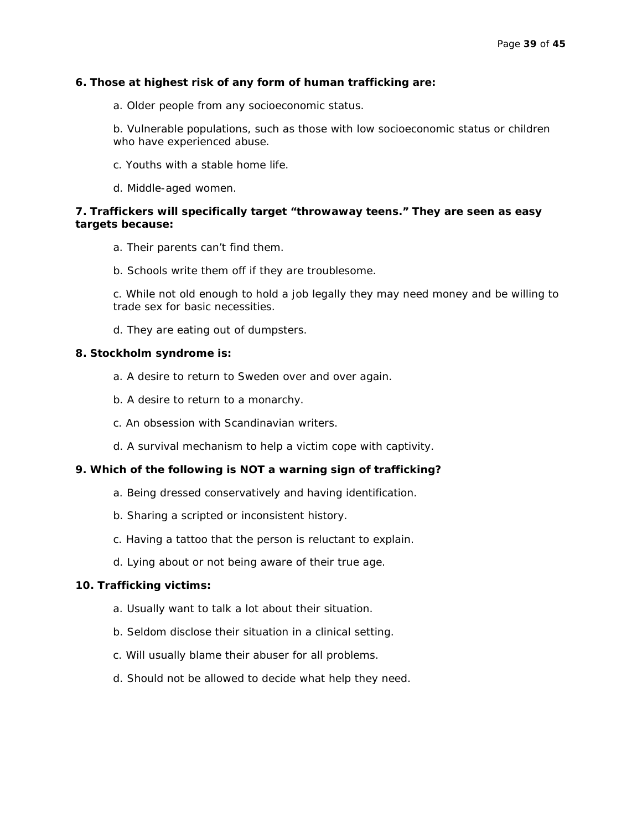#### **6. Those at highest risk of any form of human trafficking are:**

a. Older people from any socioeconomic status.

b. Vulnerable populations, such as those with low socioeconomic status or children who have experienced abuse.

- c. Youths with a stable home life.
- d. Middle-aged women.

#### **7. Traffickers will specifically target "throwaway teens." They are seen as easy targets because:**

- a. Their parents can't find them.
- b. Schools write them off if they are troublesome.

c. While not old enough to hold a job legally they may need money and be willing to trade sex for basic necessities.

d. They are eating out of dumpsters.

#### **8. Stockholm syndrome is:**

- a. A desire to return to Sweden over and over again.
- b. A desire to return to a monarchy.
- c. An obsession with Scandinavian writers.
- d. A survival mechanism to help a victim cope with captivity.

#### **9. Which of the following is NOT a warning sign of trafficking?**

- a. Being dressed conservatively and having identification.
- b. Sharing a scripted or inconsistent history.
- c. Having a tattoo that the person is reluctant to explain.
- d. Lying about or not being aware of their true age.

#### **10. Trafficking victims:**

- a. Usually want to talk a lot about their situation.
- b. Seldom disclose their situation in a clinical setting.
- c. Will usually blame their abuser for all problems.
- d. Should not be allowed to decide what help they need.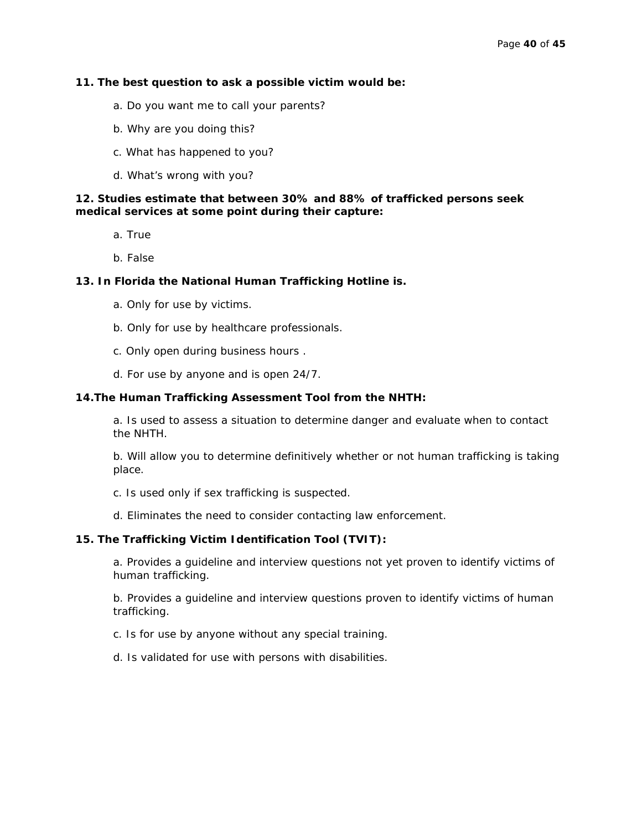#### **11. The best question to ask a possible victim would be:**

- a. Do you want me to call your parents?
- b. Why are you doing this?
- c. What has happened to you?
- d. What's wrong with you?

#### **12. Studies estimate that between 30% and 88% of trafficked persons seek medical services at some point during their capture:**

- a. True
- b. False

#### **13. In Florida the National Human Trafficking Hotline is.**

- a. Only for use by victims.
- b. Only for use by healthcare professionals.
- c. Only open during business hours .
- d. For use by anyone and is open 24/7.

#### **14.The Human Trafficking Assessment Tool from the NHTH:**

a. Is used to assess a situation to determine danger and evaluate when to contact the NHTH.

b. Will allow you to determine definitively whether or not human trafficking is taking place.

- c. Is used only if sex trafficking is suspected.
- d. Eliminates the need to consider contacting law enforcement.

#### **15. The Trafficking Victim Identification Tool (TVIT):**

a. Provides a guideline and interview questions not yet proven to identify victims of human trafficking.

b. Provides a guideline and interview questions proven to identify victims of human trafficking.

- c. Is for use by anyone without any special training.
- d. Is validated for use with persons with disabilities.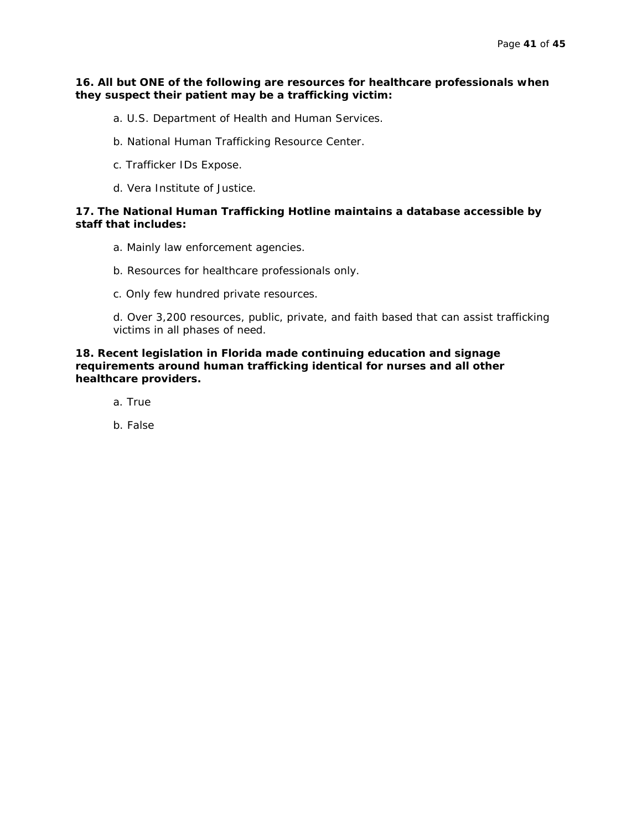#### **16. All but ONE of the following are resources for healthcare professionals when they suspect their patient may be a trafficking victim:**

- a. U.S. Department of Health and Human Services.
- b. National Human Trafficking Resource Center.
- c. Trafficker IDs Expose.
- d. Vera Institute of Justice.

#### **17. The National Human Trafficking Hotline maintains a database accessible by staff that includes:**

- a. Mainly law enforcement agencies.
- b. Resources for healthcare professionals only.
- c. Only few hundred private resources.

d. Over 3,200 resources, public, private, and faith based that can assist trafficking victims in all phases of need.

**18. Recent legislation in Florida made continuing education and signage requirements around human trafficking identical for nurses and all other healthcare providers.**

- a. True
- b. False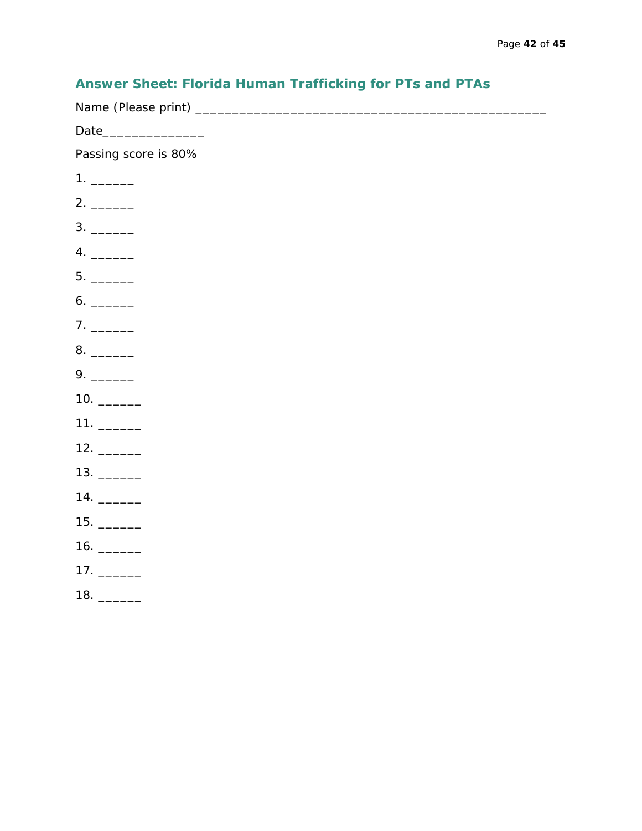### **Answer Sheet: Florida Human Trafficking for PTs and PTAs**

Name (Please print) \_\_\_\_\_\_\_\_\_\_\_\_\_\_\_\_\_\_\_\_\_\_\_\_\_\_\_\_\_\_\_\_\_\_\_\_\_\_\_\_\_\_\_\_\_\_\_\_ Date\_\_\_\_\_\_\_\_\_\_\_\_\_\_ Passing score is 80% 1. \_\_\_\_\_\_ 2. \_\_\_\_\_\_ 3. \_\_\_\_\_\_ 4. \_\_\_\_\_\_ 5. \_\_\_\_\_\_ 6. \_\_\_\_\_\_ 7. \_\_\_\_\_\_ 8. \_\_\_\_\_\_ 9. \_\_\_\_\_\_ 10. \_\_\_\_\_\_ 11. \_\_\_\_\_\_ 12. \_\_\_\_\_\_ 13. \_\_\_\_\_\_ 14. \_\_\_\_\_\_ 15. \_\_\_\_\_\_ 16. \_\_\_\_\_\_ 17. \_\_\_\_\_\_

18. \_\_\_\_\_\_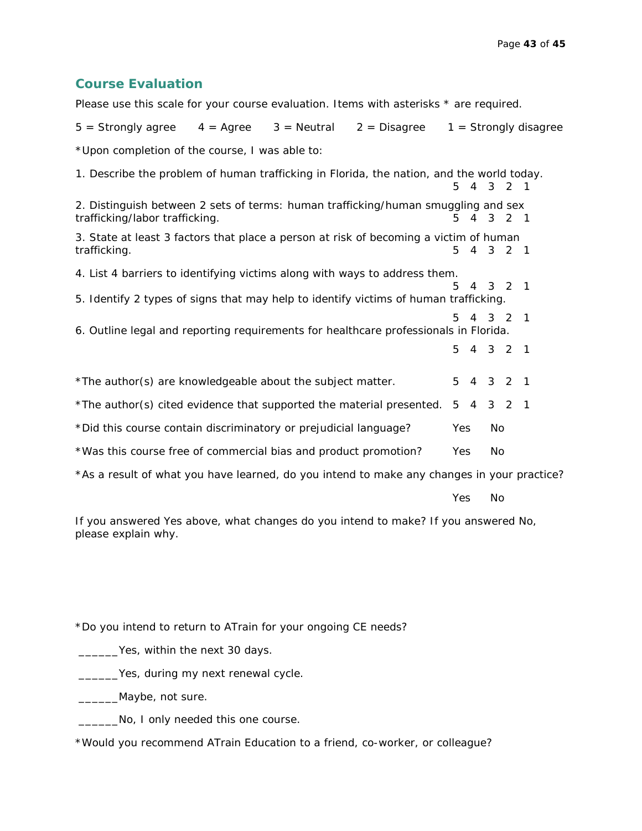#### **Course Evaluation**

Please use this scale for your course evaluation. Items with asterisks \* are required.

| $5 =$ Strongly agree $4 =$ Agree $3 =$ Neutral $2 =$ Disagree                                                       |  |     |       |         | $1 =$ Strongly disagree |
|---------------------------------------------------------------------------------------------------------------------|--|-----|-------|---------|-------------------------|
| *Upon completion of the course, I was able to:                                                                      |  |     |       |         |                         |
| 1. Describe the problem of human trafficking in Florida, the nation, and the world today.                           |  | 5   |       | 4 3 2 1 |                         |
| 2. Distinguish between 2 sets of terms: human trafficking/human smuggling and sex<br>trafficking/labor trafficking. |  | 5.  |       | 4 3 2 1 |                         |
| 3. State at least 3 factors that place a person at risk of becoming a victim of human<br>trafficking.               |  | 5.  |       | 4 3 2 1 |                         |
| 4. List 4 barriers to identifying victims along with ways to address them.                                          |  |     |       |         |                         |
| 5. Identify 2 types of signs that may help to identify victims of human trafficking.                                |  | 5   |       | 4 3 2 1 |                         |
| 6. Outline legal and reporting requirements for healthcare professionals in Florida.                                |  | 5.  | 4 3 2 |         | $\overline{1}$          |
|                                                                                                                     |  | 5   |       | 4 3 2 1 |                         |
| *The author(s) are knowledgeable about the subject matter.                                                          |  | 5   |       | 4 3 2 1 |                         |
| *The author(s) cited evidence that supported the material presented.                                                |  | 5   |       | 4 3 2 1 |                         |
| *Did this course contain discriminatory or prejudicial language?                                                    |  | Yes | No    |         |                         |
| *Was this course free of commercial bias and product promotion?                                                     |  | Yes | No    |         |                         |
| *As a result of what you have learned, do you intend to make any changes in your practice?                          |  |     |       |         |                         |

Yes No

If you answered Yes above, what changes do you intend to make? If you answered No, please explain why.

\*Do you intend to return to ATrain for your ongoing CE needs?

\_\_\_\_\_\_Yes, within the next 30 days.

\_\_\_\_\_\_Yes, during my next renewal cycle.

\_\_\_\_\_\_\_Maybe, not sure.

**No, I only needed this one course.** 

\*Would you recommend ATrain Education to a friend, co-worker, or colleague?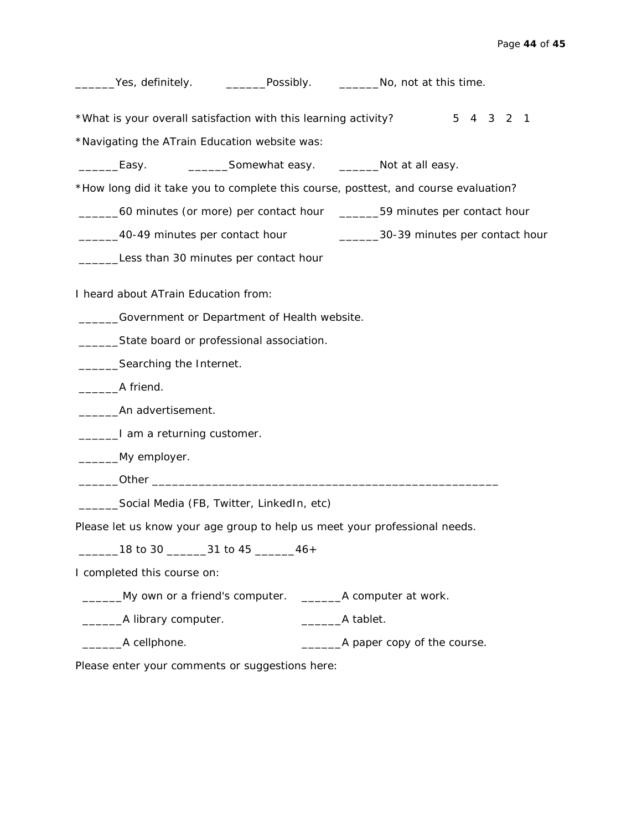| _______Yes, definitely. ____________Possibly. ____________No, not at this time.     |                                                                                 |
|-------------------------------------------------------------------------------------|---------------------------------------------------------------------------------|
| *What is your overall satisfaction with this learning activity?                     | 5 4 3 2 1                                                                       |
| *Navigating the ATrain Education website was:                                       |                                                                                 |
|                                                                                     |                                                                                 |
| *How long did it take you to complete this course, posttest, and course evaluation? |                                                                                 |
|                                                                                     | _______60 minutes (or more) per contact hour _______59 minutes per contact hour |
| ______40-49 minutes per contact hour                                                | _________30-39 minutes per contact hour                                         |
| Less than 30 minutes per contact hour                                               |                                                                                 |
| I heard about ATrain Education from:                                                |                                                                                 |
| _______Government or Department of Health website.                                  |                                                                                 |
| State board or professional association.                                            |                                                                                 |
| ___________Searching the Internet.                                                  |                                                                                 |
| A friend.                                                                           |                                                                                 |
| __________An advertisement.                                                         |                                                                                 |
| ________I am a returning customer.                                                  |                                                                                 |
| _______My employer.                                                                 |                                                                                 |
|                                                                                     |                                                                                 |
| ______Social Media (FB, Twitter, LinkedIn, etc)                                     |                                                                                 |
| Please let us know your age group to help us meet your professional needs.          |                                                                                 |
| _18 to 30 ________31 to 45 _______46+                                               |                                                                                 |
| I completed this course on:                                                         |                                                                                 |
| ____My own or a friend's computer. __________A computer at work.                    |                                                                                 |
| __________A library computer.                                                       | __________A tablet.                                                             |
| ______________A cellphone.                                                          |                                                                                 |

Please enter your comments or suggestions here: